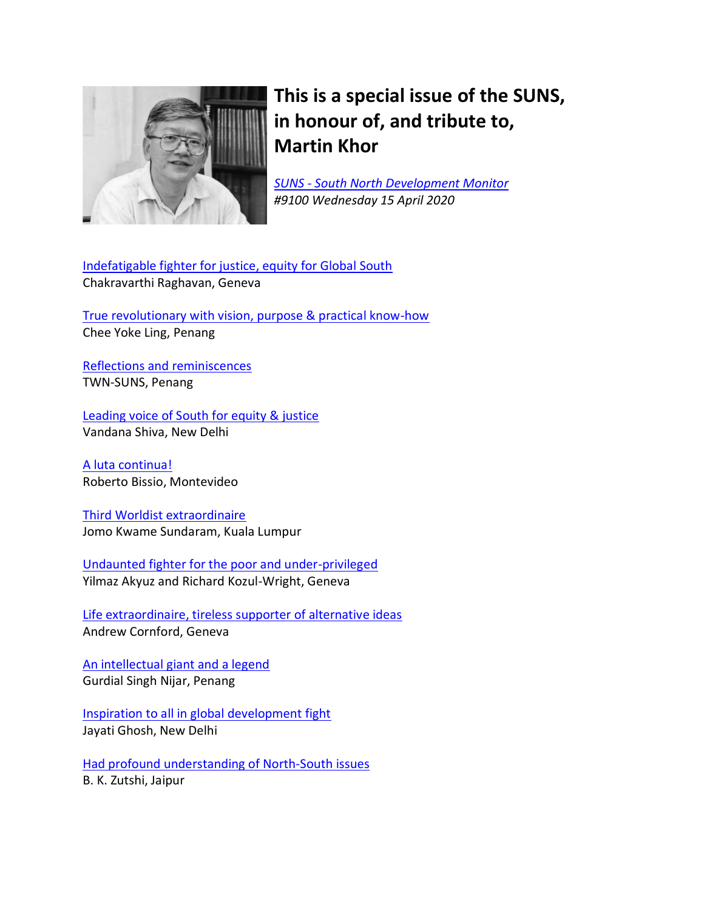

# **This is a special issue of the SUNS, in honour of, and tribute to, Martin Khor**

*SUNS - [South North Development Monitor](http://www.sunsonline.org/) #9100 Wednesday 15 April 2020*

[Indefatigable fighter for justice, equity for Global South](#page-2-0) Chakravarthi Raghavan, Geneva

[True revolutionary with vision, purpose & practical know-how](#page-7-0) Chee Yoke Ling, Penang

[Reflections and reminiscences](#page-9-0) TWN-SUNS, Penang

[Leading voice of South for equity & justice](#page-10-0) Vandana Shiva, New Delhi

[A luta continua!](#page-13-0) Roberto Bissio, Montevideo

[Third Worldist extraordinaire](#page-15-0) Jomo Kwame Sundaram, Kuala Lumpur

[Undaunted fighter for the poor and under-privileged](#page-17-0) Yilmaz Akyuz and Richard Kozul-Wright, Geneva

[Life extraordinaire, tireless supporter of alternative ideas](#page-18-0) Andrew Cornford, Geneva

[An intellectual giant and a legend](#page-19-0) Gurdial Singh Nijar, Penang

[Inspiration to all in global development fight](#page-21-0) Jayati Ghosh, New Delhi

[Had profound understanding of North-South issues](#page-22-0) B. K. Zutshi, Jaipur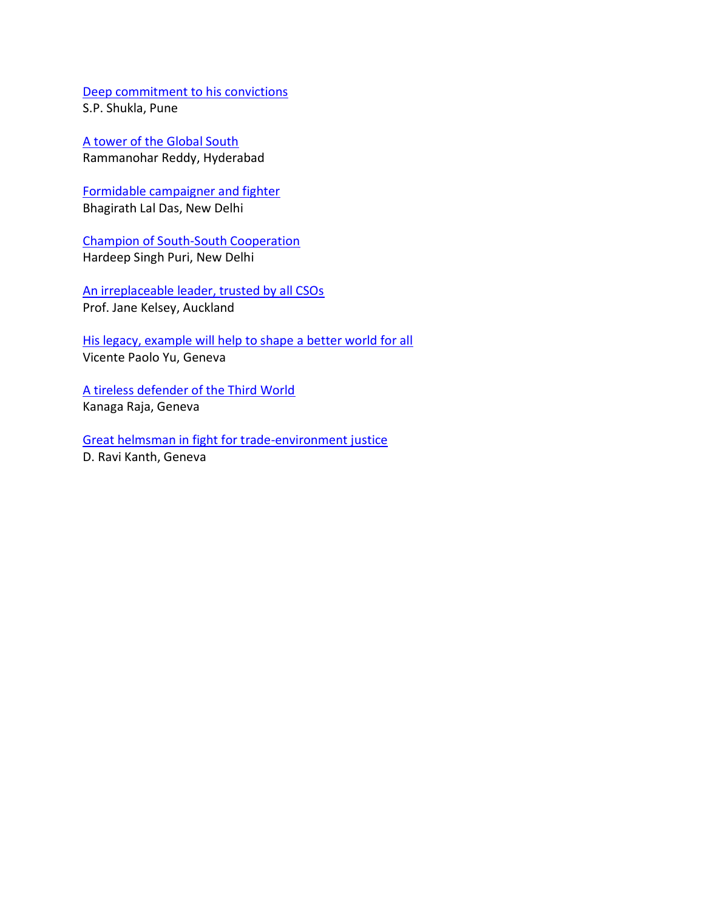[Deep commitment to his convictions](#page-23-0) S.P. Shukla, Pune

[A tower of the Global South](#page-24-0) Rammanohar Reddy, Hyderabad

[Formidable campaigner and fighter](#page-25-0) Bhagirath Lal Das, New Delhi

[Champion of South-South Cooperation](#page-28-0) Hardeep Singh Puri, New Delhi

[An irreplaceable leader, trusted by all CSOs](#page-29-0) Prof. Jane Kelsey, Auckland

[His legacy, example will help to shape](#page-30-0) a better world for all Vicente Paolo Yu, Geneva

[A tireless defender of the Third World](#page-33-0) Kanaga Raja, Geneva

[Great helmsman in fight for trade-environment justice](#page-34-0) D. Ravi Kanth, Geneva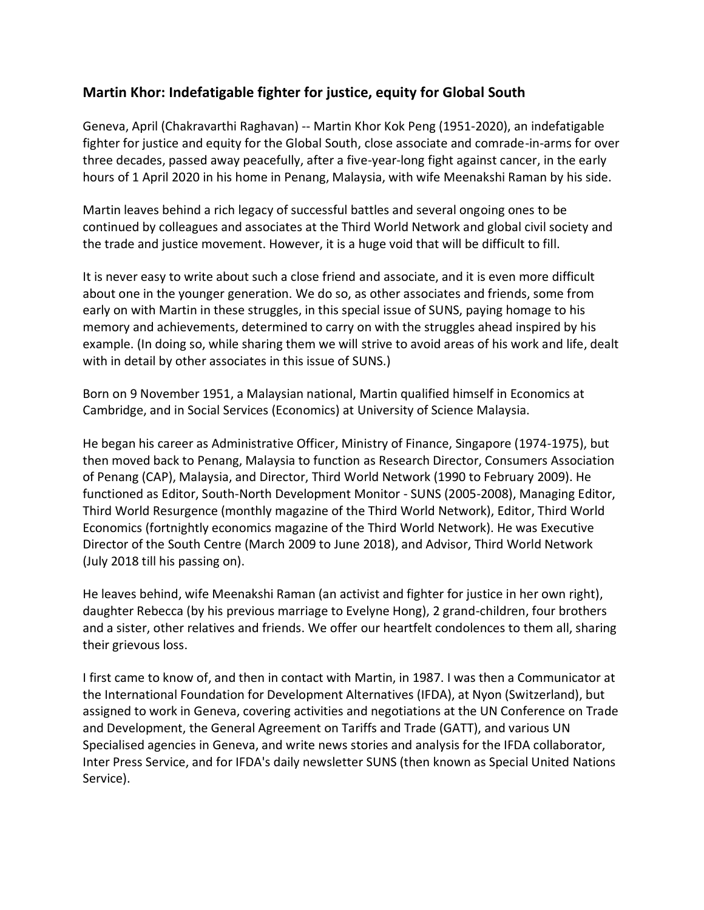## <span id="page-2-0"></span>**Martin Khor: Indefatigable fighter for justice, equity for Global South**

Geneva, April (Chakravarthi Raghavan) -- Martin Khor Kok Peng (1951-2020), an indefatigable fighter for justice and equity for the Global South, close associate and comrade-in-arms for over three decades, passed away peacefully, after a five-year-long fight against cancer, in the early hours of 1 April 2020 in his home in Penang, Malaysia, with wife Meenakshi Raman by his side.

Martin leaves behind a rich legacy of successful battles and several ongoing ones to be continued by colleagues and associates at the Third World Network and global civil society and the trade and justice movement. However, it is a huge void that will be difficult to fill.

It is never easy to write about such a close friend and associate, and it is even more difficult about one in the younger generation. We do so, as other associates and friends, some from early on with Martin in these struggles, in this special issue of SUNS, paying homage to his memory and achievements, determined to carry on with the struggles ahead inspired by his example. (In doing so, while sharing them we will strive to avoid areas of his work and life, dealt with in detail by other associates in this issue of SUNS.)

Born on 9 November 1951, a Malaysian national, Martin qualified himself in Economics at Cambridge, and in Social Services (Economics) at University of Science Malaysia.

He began his career as Administrative Officer, Ministry of Finance, Singapore (1974-1975), but then moved back to Penang, Malaysia to function as Research Director, Consumers Association of Penang (CAP), Malaysia, and Director, Third World Network (1990 to February 2009). He functioned as Editor, South-North Development Monitor - SUNS (2005-2008), Managing Editor, Third World Resurgence (monthly magazine of the Third World Network), Editor, Third World Economics (fortnightly economics magazine of the Third World Network). He was Executive Director of the South Centre (March 2009 to June 2018), and Advisor, Third World Network (July 2018 till his passing on).

He leaves behind, wife Meenakshi Raman (an activist and fighter for justice in her own right), daughter Rebecca (by his previous marriage to Evelyne Hong), 2 grand-children, four brothers and a sister, other relatives and friends. We offer our heartfelt condolences to them all, sharing their grievous loss.

I first came to know of, and then in contact with Martin, in 1987. I was then a Communicator at the International Foundation for Development Alternatives (IFDA), at Nyon (Switzerland), but assigned to work in Geneva, covering activities and negotiations at the UN Conference on Trade and Development, the General Agreement on Tariffs and Trade (GATT), and various UN Specialised agencies in Geneva, and write news stories and analysis for the IFDA collaborator, Inter Press Service, and for IFDA's daily newsletter SUNS (then known as Special United Nations Service).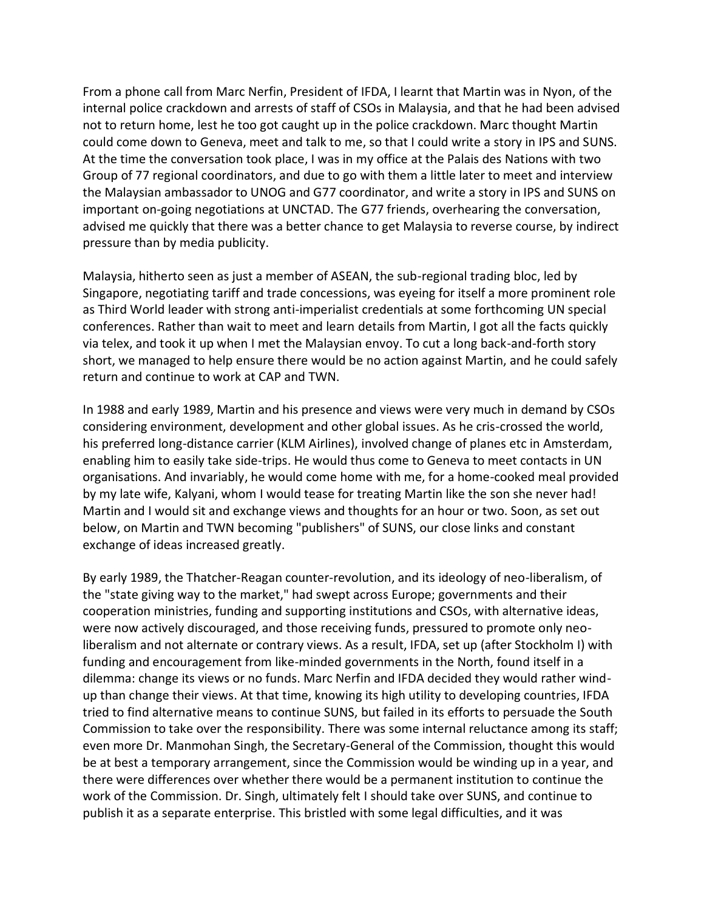From a phone call from Marc Nerfin, President of IFDA, I learnt that Martin was in Nyon, of the internal police crackdown and arrests of staff of CSOs in Malaysia, and that he had been advised not to return home, lest he too got caught up in the police crackdown. Marc thought Martin could come down to Geneva, meet and talk to me, so that I could write a story in IPS and SUNS. At the time the conversation took place, I was in my office at the Palais des Nations with two Group of 77 regional coordinators, and due to go with them a little later to meet and interview the Malaysian ambassador to UNOG and G77 coordinator, and write a story in IPS and SUNS on important on-going negotiations at UNCTAD. The G77 friends, overhearing the conversation, advised me quickly that there was a better chance to get Malaysia to reverse course, by indirect pressure than by media publicity.

Malaysia, hitherto seen as just a member of ASEAN, the sub-regional trading bloc, led by Singapore, negotiating tariff and trade concessions, was eyeing for itself a more prominent role as Third World leader with strong anti-imperialist credentials at some forthcoming UN special conferences. Rather than wait to meet and learn details from Martin, I got all the facts quickly via telex, and took it up when I met the Malaysian envoy. To cut a long back-and-forth story short, we managed to help ensure there would be no action against Martin, and he could safely return and continue to work at CAP and TWN.

In 1988 and early 1989, Martin and his presence and views were very much in demand by CSOs considering environment, development and other global issues. As he cris-crossed the world, his preferred long-distance carrier (KLM Airlines), involved change of planes etc in Amsterdam, enabling him to easily take side-trips. He would thus come to Geneva to meet contacts in UN organisations. And invariably, he would come home with me, for a home-cooked meal provided by my late wife, Kalyani, whom I would tease for treating Martin like the son she never had! Martin and I would sit and exchange views and thoughts for an hour or two. Soon, as set out below, on Martin and TWN becoming "publishers" of SUNS, our close links and constant exchange of ideas increased greatly.

By early 1989, the Thatcher-Reagan counter-revolution, and its ideology of neo-liberalism, of the "state giving way to the market," had swept across Europe; governments and their cooperation ministries, funding and supporting institutions and CSOs, with alternative ideas, were now actively discouraged, and those receiving funds, pressured to promote only neoliberalism and not alternate or contrary views. As a result, IFDA, set up (after Stockholm I) with funding and encouragement from like-minded governments in the North, found itself in a dilemma: change its views or no funds. Marc Nerfin and IFDA decided they would rather windup than change their views. At that time, knowing its high utility to developing countries, IFDA tried to find alternative means to continue SUNS, but failed in its efforts to persuade the South Commission to take over the responsibility. There was some internal reluctance among its staff; even more Dr. Manmohan Singh, the Secretary-General of the Commission, thought this would be at best a temporary arrangement, since the Commission would be winding up in a year, and there were differences over whether there would be a permanent institution to continue the work of the Commission. Dr. Singh, ultimately felt I should take over SUNS, and continue to publish it as a separate enterprise. This bristled with some legal difficulties, and it was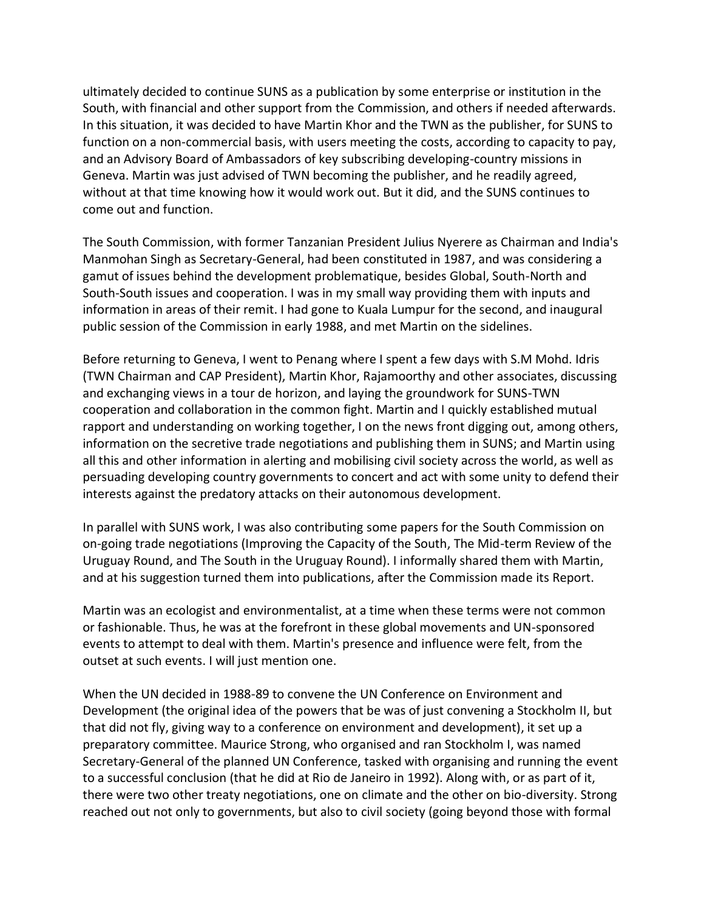ultimately decided to continue SUNS as a publication by some enterprise or institution in the South, with financial and other support from the Commission, and others if needed afterwards. In this situation, it was decided to have Martin Khor and the TWN as the publisher, for SUNS to function on a non-commercial basis, with users meeting the costs, according to capacity to pay, and an Advisory Board of Ambassadors of key subscribing developing-country missions in Geneva. Martin was just advised of TWN becoming the publisher, and he readily agreed, without at that time knowing how it would work out. But it did, and the SUNS continues to come out and function.

The South Commission, with former Tanzanian President Julius Nyerere as Chairman and India's Manmohan Singh as Secretary-General, had been constituted in 1987, and was considering a gamut of issues behind the development problematique, besides Global, South-North and South-South issues and cooperation. I was in my small way providing them with inputs and information in areas of their remit. I had gone to Kuala Lumpur for the second, and inaugural public session of the Commission in early 1988, and met Martin on the sidelines.

Before returning to Geneva, I went to Penang where I spent a few days with S.M Mohd. Idris (TWN Chairman and CAP President), Martin Khor, Rajamoorthy and other associates, discussing and exchanging views in a tour de horizon, and laying the groundwork for SUNS-TWN cooperation and collaboration in the common fight. Martin and I quickly established mutual rapport and understanding on working together, I on the news front digging out, among others, information on the secretive trade negotiations and publishing them in SUNS; and Martin using all this and other information in alerting and mobilising civil society across the world, as well as persuading developing country governments to concert and act with some unity to defend their interests against the predatory attacks on their autonomous development.

In parallel with SUNS work, I was also contributing some papers for the South Commission on on-going trade negotiations (Improving the Capacity of the South, The Mid-term Review of the Uruguay Round, and The South in the Uruguay Round). I informally shared them with Martin, and at his suggestion turned them into publications, after the Commission made its Report.

Martin was an ecologist and environmentalist, at a time when these terms were not common or fashionable. Thus, he was at the forefront in these global movements and UN-sponsored events to attempt to deal with them. Martin's presence and influence were felt, from the outset at such events. I will just mention one.

When the UN decided in 1988-89 to convene the UN Conference on Environment and Development (the original idea of the powers that be was of just convening a Stockholm II, but that did not fly, giving way to a conference on environment and development), it set up a preparatory committee. Maurice Strong, who organised and ran Stockholm I, was named Secretary-General of the planned UN Conference, tasked with organising and running the event to a successful conclusion (that he did at Rio de Janeiro in 1992). Along with, or as part of it, there were two other treaty negotiations, one on climate and the other on bio-diversity. Strong reached out not only to governments, but also to civil society (going beyond those with formal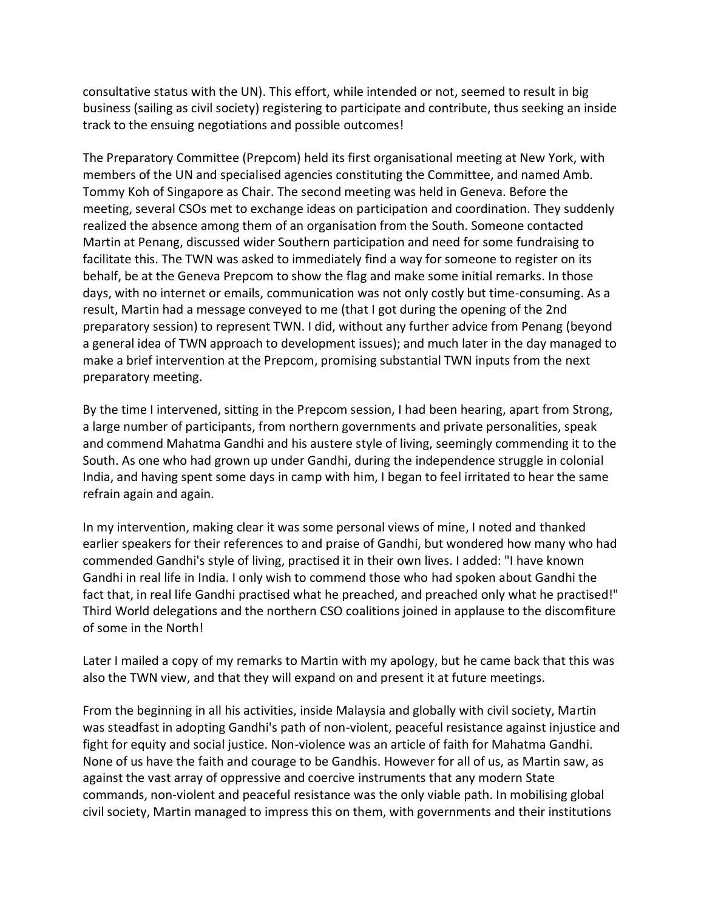consultative status with the UN). This effort, while intended or not, seemed to result in big business (sailing as civil society) registering to participate and contribute, thus seeking an inside track to the ensuing negotiations and possible outcomes!

The Preparatory Committee (Prepcom) held its first organisational meeting at New York, with members of the UN and specialised agencies constituting the Committee, and named Amb. Tommy Koh of Singapore as Chair. The second meeting was held in Geneva. Before the meeting, several CSOs met to exchange ideas on participation and coordination. They suddenly realized the absence among them of an organisation from the South. Someone contacted Martin at Penang, discussed wider Southern participation and need for some fundraising to facilitate this. The TWN was asked to immediately find a way for someone to register on its behalf, be at the Geneva Prepcom to show the flag and make some initial remarks. In those days, with no internet or emails, communication was not only costly but time-consuming. As a result, Martin had a message conveyed to me (that I got during the opening of the 2nd preparatory session) to represent TWN. I did, without any further advice from Penang (beyond a general idea of TWN approach to development issues); and much later in the day managed to make a brief intervention at the Prepcom, promising substantial TWN inputs from the next preparatory meeting.

By the time I intervened, sitting in the Prepcom session, I had been hearing, apart from Strong, a large number of participants, from northern governments and private personalities, speak and commend Mahatma Gandhi and his austere style of living, seemingly commending it to the South. As one who had grown up under Gandhi, during the independence struggle in colonial India, and having spent some days in camp with him, I began to feel irritated to hear the same refrain again and again.

In my intervention, making clear it was some personal views of mine, I noted and thanked earlier speakers for their references to and praise of Gandhi, but wondered how many who had commended Gandhi's style of living, practised it in their own lives. I added: "I have known Gandhi in real life in India. I only wish to commend those who had spoken about Gandhi the fact that, in real life Gandhi practised what he preached, and preached only what he practised!" Third World delegations and the northern CSO coalitions joined in applause to the discomfiture of some in the North!

Later I mailed a copy of my remarks to Martin with my apology, but he came back that this was also the TWN view, and that they will expand on and present it at future meetings.

From the beginning in all his activities, inside Malaysia and globally with civil society, Martin was steadfast in adopting Gandhi's path of non-violent, peaceful resistance against injustice and fight for equity and social justice. Non-violence was an article of faith for Mahatma Gandhi. None of us have the faith and courage to be Gandhis. However for all of us, as Martin saw, as against the vast array of oppressive and coercive instruments that any modern State commands, non-violent and peaceful resistance was the only viable path. In mobilising global civil society, Martin managed to impress this on them, with governments and their institutions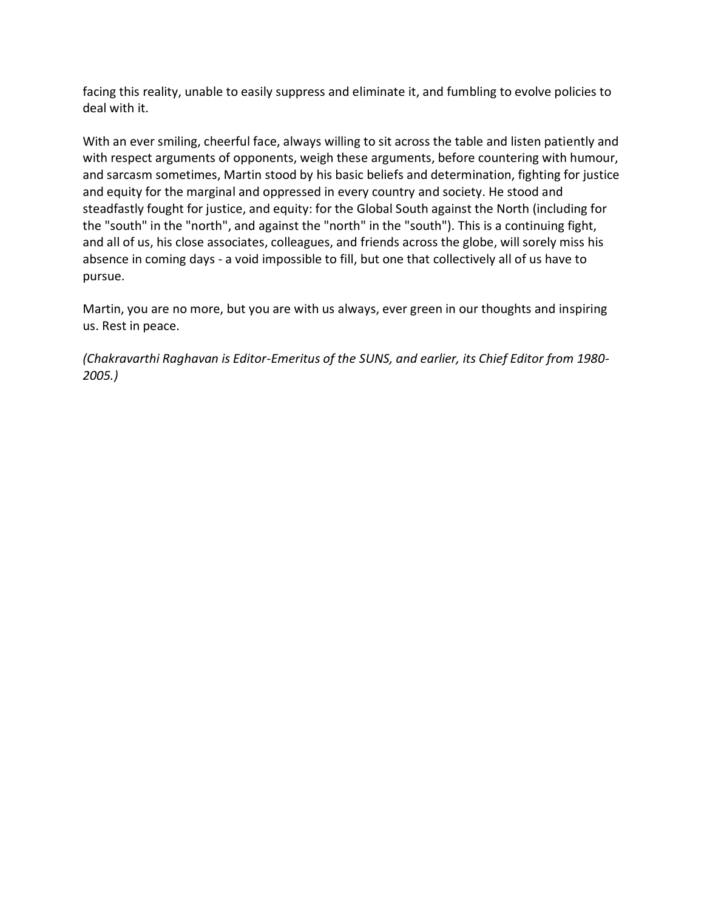facing this reality, unable to easily suppress and eliminate it, and fumbling to evolve policies to deal with it.

With an ever smiling, cheerful face, always willing to sit across the table and listen patiently and with respect arguments of opponents, weigh these arguments, before countering with humour, and sarcasm sometimes, Martin stood by his basic beliefs and determination, fighting for justice and equity for the marginal and oppressed in every country and society. He stood and steadfastly fought for justice, and equity: for the Global South against the North (including for the "south" in the "north", and against the "north" in the "south"). This is a continuing fight, and all of us, his close associates, colleagues, and friends across the globe, will sorely miss his absence in coming days - a void impossible to fill, but one that collectively all of us have to pursue.

Martin, you are no more, but you are with us always, ever green in our thoughts and inspiring us. Rest in peace.

*(Chakravarthi Raghavan is Editor-Emeritus of the SUNS, and earlier, its Chief Editor from 1980- 2005.)*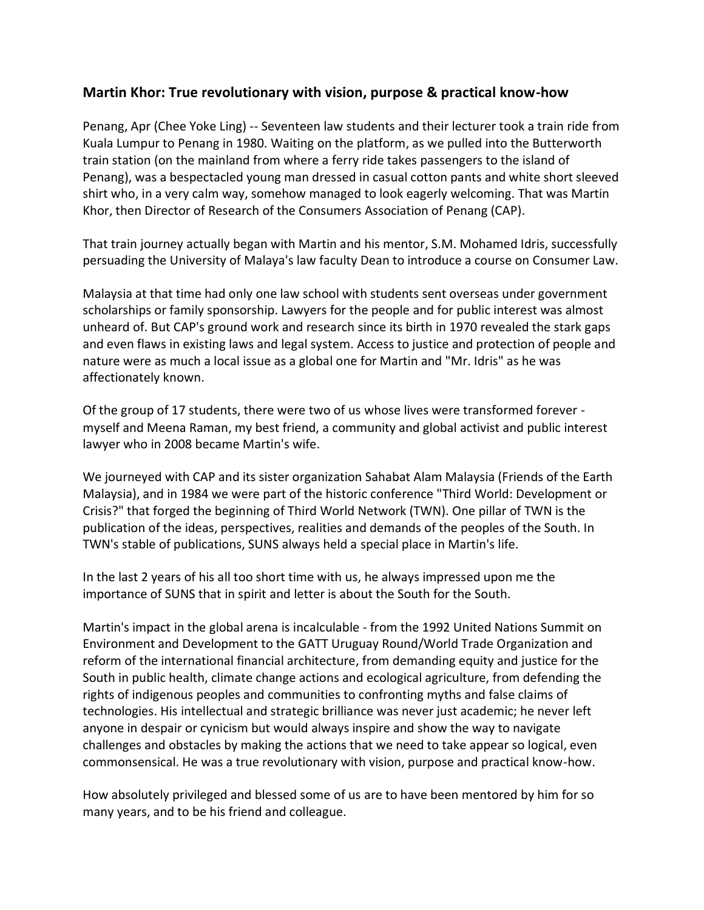### <span id="page-7-0"></span>**Martin Khor: True revolutionary with vision, purpose & practical know-how**

Penang, Apr (Chee Yoke Ling) -- Seventeen law students and their lecturer took a train ride from Kuala Lumpur to Penang in 1980. Waiting on the platform, as we pulled into the Butterworth train station (on the mainland from where a ferry ride takes passengers to the island of Penang), was a bespectacled young man dressed in casual cotton pants and white short sleeved shirt who, in a very calm way, somehow managed to look eagerly welcoming. That was Martin Khor, then Director of Research of the Consumers Association of Penang (CAP).

That train journey actually began with Martin and his mentor, S.M. Mohamed Idris, successfully persuading the University of Malaya's law faculty Dean to introduce a course on Consumer Law.

Malaysia at that time had only one law school with students sent overseas under government scholarships or family sponsorship. Lawyers for the people and for public interest was almost unheard of. But CAP's ground work and research since its birth in 1970 revealed the stark gaps and even flaws in existing laws and legal system. Access to justice and protection of people and nature were as much a local issue as a global one for Martin and "Mr. Idris" as he was affectionately known.

Of the group of 17 students, there were two of us whose lives were transformed forever myself and Meena Raman, my best friend, a community and global activist and public interest lawyer who in 2008 became Martin's wife.

We journeyed with CAP and its sister organization Sahabat Alam Malaysia (Friends of the Earth Malaysia), and in 1984 we were part of the historic conference "Third World: Development or Crisis?" that forged the beginning of Third World Network (TWN). One pillar of TWN is the publication of the ideas, perspectives, realities and demands of the peoples of the South. In TWN's stable of publications, SUNS always held a special place in Martin's life.

In the last 2 years of his all too short time with us, he always impressed upon me the importance of SUNS that in spirit and letter is about the South for the South.

Martin's impact in the global arena is incalculable - from the 1992 United Nations Summit on Environment and Development to the GATT Uruguay Round/World Trade Organization and reform of the international financial architecture, from demanding equity and justice for the South in public health, climate change actions and ecological agriculture, from defending the rights of indigenous peoples and communities to confronting myths and false claims of technologies. His intellectual and strategic brilliance was never just academic; he never left anyone in despair or cynicism but would always inspire and show the way to navigate challenges and obstacles by making the actions that we need to take appear so logical, even commonsensical. He was a true revolutionary with vision, purpose and practical know-how.

How absolutely privileged and blessed some of us are to have been mentored by him for so many years, and to be his friend and colleague.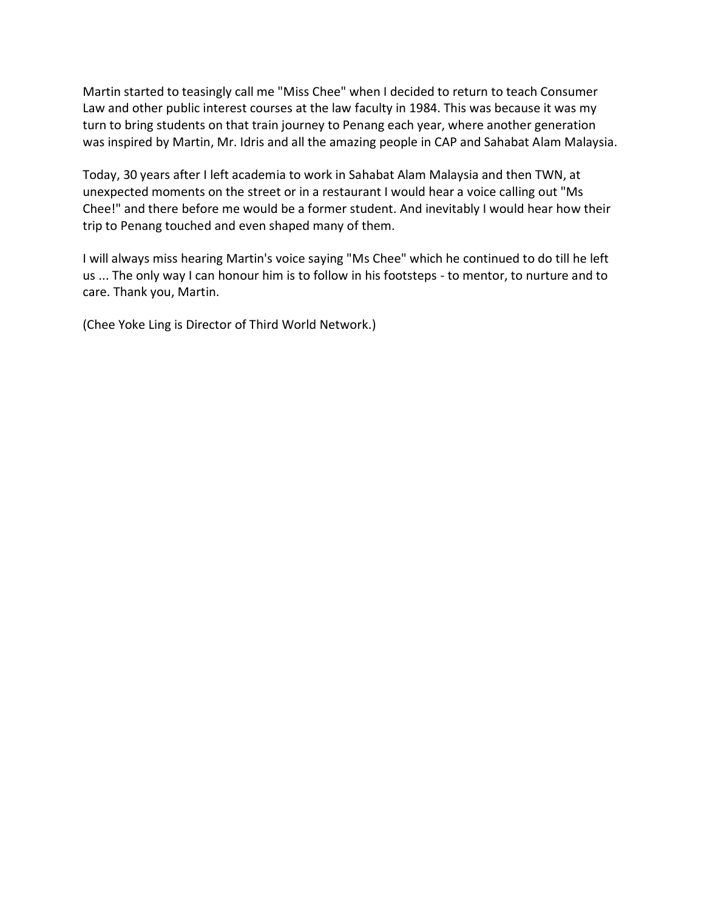Martin started to teasingly call me "Miss Chee" when I decided to return to teach Consumer Law and other public interest courses at the law faculty in 1984. This was because it was my turn to bring students on that train journey to Penang each year, where another generation was inspired by Martin, Mr. Idris and all the amazing people in CAP and Sahabat Alam Malaysia.

Today, 30 years after I left academia to work in Sahabat Alam Malaysia and then TWN, at unexpected moments on the street or in a restaurant I would hear a voice calling out "Ms Chee!" and there before me would be a former student. And inevitably I would hear how their trip to Penang touched and even shaped many of them.

I will always miss hearing Martin's voice saying "Ms Chee" which he continued to do till he left us ... The only way I can honour him is to follow in his footsteps - to mentor, to nurture and to care. Thank you, Martin.

(Chee Yoke Ling is Director of Third World Network.)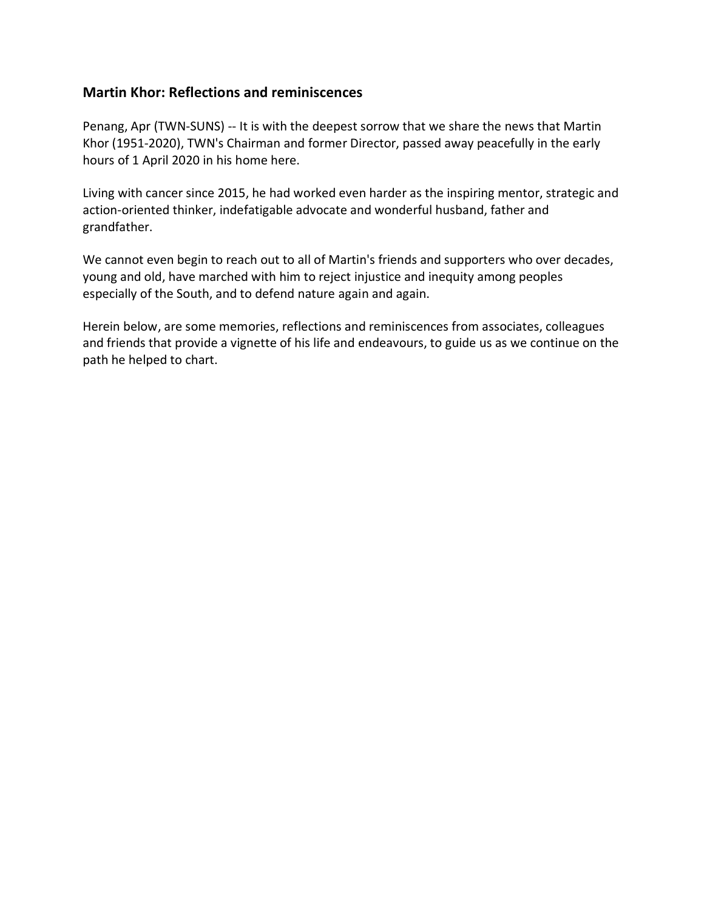#### <span id="page-9-0"></span>**Martin Khor: Reflections and reminiscences**

Penang, Apr (TWN-SUNS) -- It is with the deepest sorrow that we share the news that Martin Khor (1951-2020), TWN's Chairman and former Director, passed away peacefully in the early hours of 1 April 2020 in his home here.

Living with cancer since 2015, he had worked even harder as the inspiring mentor, strategic and action-oriented thinker, indefatigable advocate and wonderful husband, father and grandfather.

We cannot even begin to reach out to all of Martin's friends and supporters who over decades, young and old, have marched with him to reject injustice and inequity among peoples especially of the South, and to defend nature again and again.

Herein below, are some memories, reflections and reminiscences from associates, colleagues and friends that provide a vignette of his life and endeavours, to guide us as we continue on the path he helped to chart.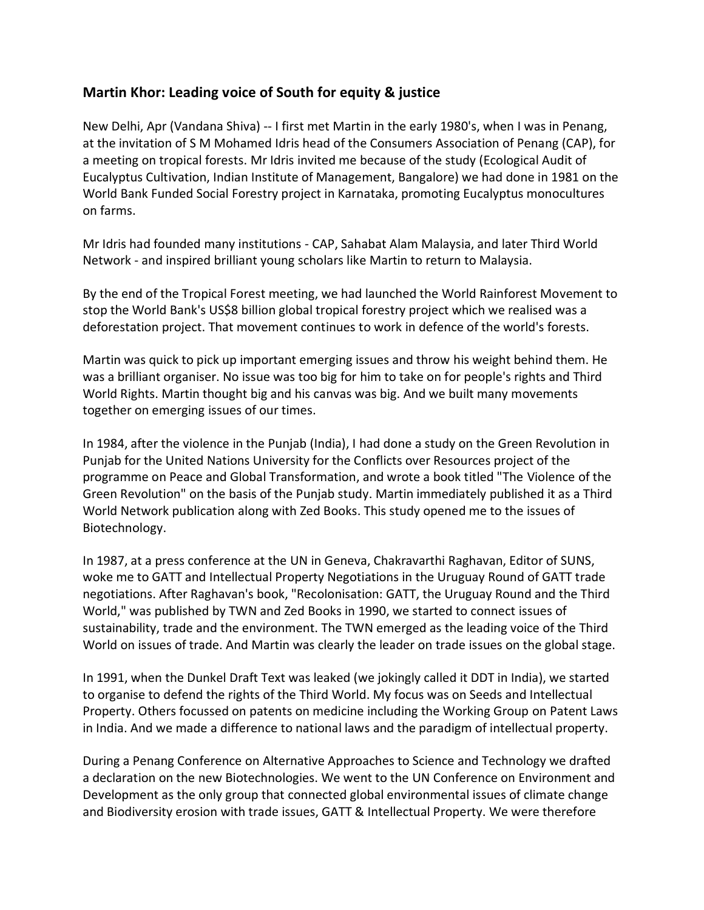## <span id="page-10-0"></span>**Martin Khor: Leading voice of South for equity & justice**

New Delhi, Apr (Vandana Shiva) -- I first met Martin in the early 1980's, when I was in Penang, at the invitation of S M Mohamed Idris head of the Consumers Association of Penang (CAP), for a meeting on tropical forests. Mr Idris invited me because of the study (Ecological Audit of Eucalyptus Cultivation, Indian Institute of Management, Bangalore) we had done in 1981 on the World Bank Funded Social Forestry project in Karnataka, promoting Eucalyptus monocultures on farms.

Mr Idris had founded many institutions - CAP, Sahabat Alam Malaysia, and later Third World Network - and inspired brilliant young scholars like Martin to return to Malaysia.

By the end of the Tropical Forest meeting, we had launched the World Rainforest Movement to stop the World Bank's US\$8 billion global tropical forestry project which we realised was a deforestation project. That movement continues to work in defence of the world's forests.

Martin was quick to pick up important emerging issues and throw his weight behind them. He was a brilliant organiser. No issue was too big for him to take on for people's rights and Third World Rights. Martin thought big and his canvas was big. And we built many movements together on emerging issues of our times.

In 1984, after the violence in the Punjab (India), I had done a study on the Green Revolution in Punjab for the United Nations University for the Conflicts over Resources project of the programme on Peace and Global Transformation, and wrote a book titled "The Violence of the Green Revolution" on the basis of the Punjab study. Martin immediately published it as a Third World Network publication along with Zed Books. This study opened me to the issues of Biotechnology.

In 1987, at a press conference at the UN in Geneva, Chakravarthi Raghavan, Editor of SUNS, woke me to GATT and Intellectual Property Negotiations in the Uruguay Round of GATT trade negotiations. After Raghavan's book, "Recolonisation: GATT, the Uruguay Round and the Third World," was published by TWN and Zed Books in 1990, we started to connect issues of sustainability, trade and the environment. The TWN emerged as the leading voice of the Third World on issues of trade. And Martin was clearly the leader on trade issues on the global stage.

In 1991, when the Dunkel Draft Text was leaked (we jokingly called it DDT in India), we started to organise to defend the rights of the Third World. My focus was on Seeds and Intellectual Property. Others focussed on patents on medicine including the Working Group on Patent Laws in India. And we made a difference to national laws and the paradigm of intellectual property.

During a Penang Conference on Alternative Approaches to Science and Technology we drafted a declaration on the new Biotechnologies. We went to the UN Conference on Environment and Development as the only group that connected global environmental issues of climate change and Biodiversity erosion with trade issues, GATT & Intellectual Property. We were therefore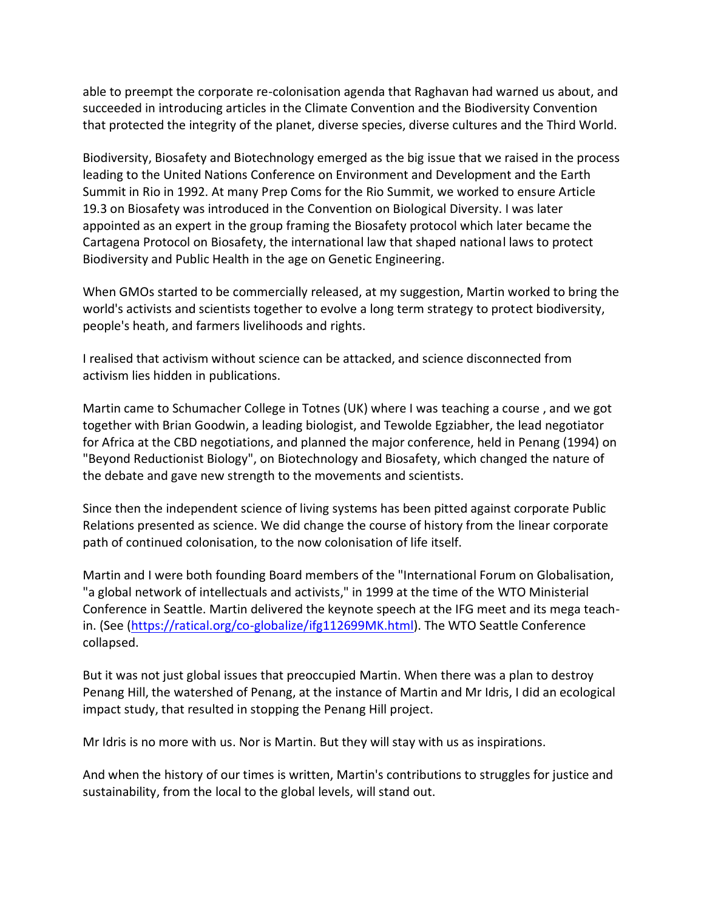able to preempt the corporate re-colonisation agenda that Raghavan had warned us about, and succeeded in introducing articles in the Climate Convention and the Biodiversity Convention that protected the integrity of the planet, diverse species, diverse cultures and the Third World.

Biodiversity, Biosafety and Biotechnology emerged as the big issue that we raised in the process leading to the United Nations Conference on Environment and Development and the Earth Summit in Rio in 1992. At many Prep Coms for the Rio Summit, we worked to ensure Article 19.3 on Biosafety was introduced in the Convention on Biological Diversity. I was later appointed as an expert in the group framing the Biosafety protocol which later became the Cartagena Protocol on Biosafety, the international law that shaped national laws to protect Biodiversity and Public Health in the age on Genetic Engineering.

When GMOs started to be commercially released, at my suggestion, Martin worked to bring the world's activists and scientists together to evolve a long term strategy to protect biodiversity, people's heath, and farmers livelihoods and rights.

I realised that activism without science can be attacked, and science disconnected from activism lies hidden in publications.

Martin came to Schumacher College in Totnes (UK) where I was teaching a course , and we got together with Brian Goodwin, a leading biologist, and Tewolde Egziabher, the lead negotiator for Africa at the CBD negotiations, and planned the major conference, held in Penang (1994) on "Beyond Reductionist Biology", on Biotechnology and Biosafety, which changed the nature of the debate and gave new strength to the movements and scientists.

Since then the independent science of living systems has been pitted against corporate Public Relations presented as science. We did change the course of history from the linear corporate path of continued colonisation, to the now colonisation of life itself.

Martin and I were both founding Board members of the "International Forum on Globalisation, "a global network of intellectuals and activists," in 1999 at the time of the WTO Ministerial Conference in Seattle. Martin delivered the keynote speech at the IFG meet and its mega teachin. (See [\(https://ratical.org/co-globalize/ifg112699MK.html\)](https://ratical.org/co-globalize/ifg112699MK.html). The WTO Seattle Conference collapsed.

But it was not just global issues that preoccupied Martin. When there was a plan to destroy Penang Hill, the watershed of Penang, at the instance of Martin and Mr Idris, I did an ecological impact study, that resulted in stopping the Penang Hill project.

Mr Idris is no more with us. Nor is Martin. But they will stay with us as inspirations.

And when the history of our times is written, Martin's contributions to struggles for justice and sustainability, from the local to the global levels, will stand out.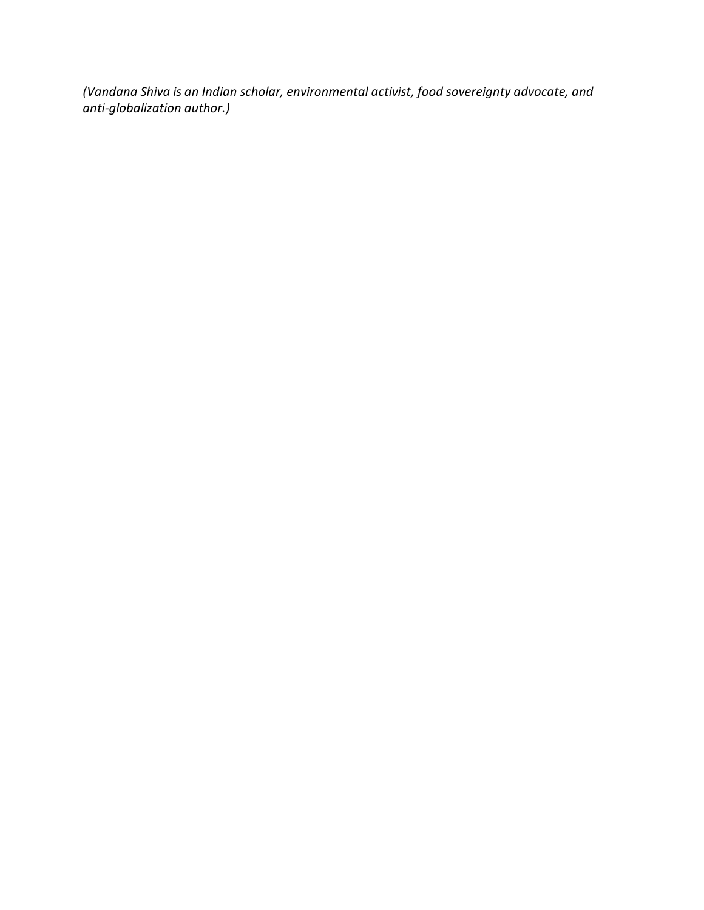*(Vandana Shiva is an Indian scholar, environmental activist, food sovereignty advocate, and anti-globalization author.)*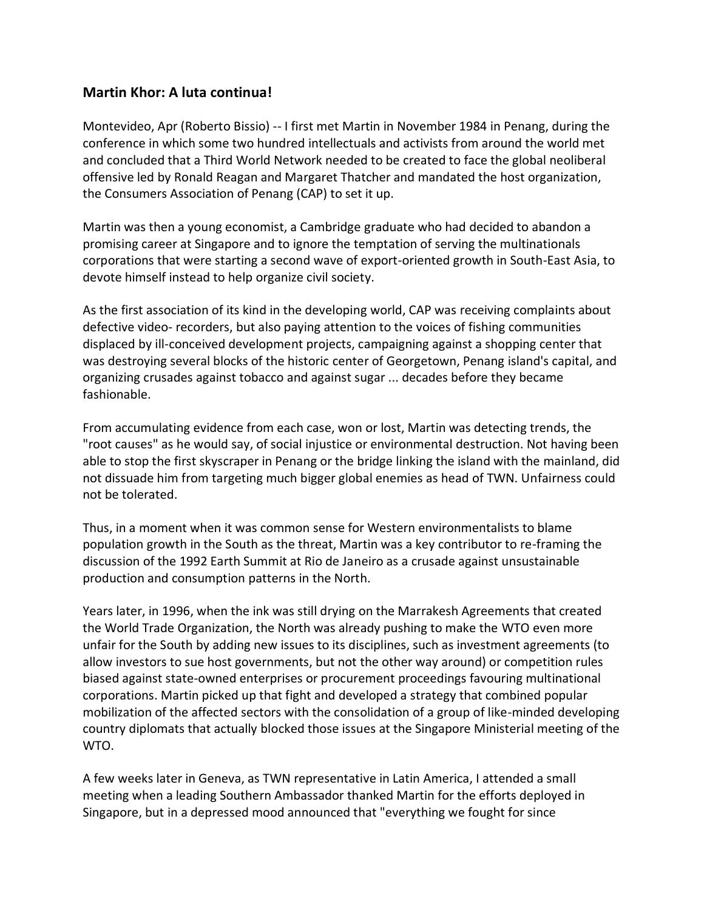#### <span id="page-13-0"></span>**Martin Khor: A luta continua!**

Montevideo, Apr (Roberto Bissio) -- I first met Martin in November 1984 in Penang, during the conference in which some two hundred intellectuals and activists from around the world met and concluded that a Third World Network needed to be created to face the global neoliberal offensive led by Ronald Reagan and Margaret Thatcher and mandated the host organization, the Consumers Association of Penang (CAP) to set it up.

Martin was then a young economist, a Cambridge graduate who had decided to abandon a promising career at Singapore and to ignore the temptation of serving the multinationals corporations that were starting a second wave of export-oriented growth in South-East Asia, to devote himself instead to help organize civil society.

As the first association of its kind in the developing world, CAP was receiving complaints about defective video- recorders, but also paying attention to the voices of fishing communities displaced by ill-conceived development projects, campaigning against a shopping center that was destroying several blocks of the historic center of Georgetown, Penang island's capital, and organizing crusades against tobacco and against sugar ... decades before they became fashionable.

From accumulating evidence from each case, won or lost, Martin was detecting trends, the "root causes" as he would say, of social injustice or environmental destruction. Not having been able to stop the first skyscraper in Penang or the bridge linking the island with the mainland, did not dissuade him from targeting much bigger global enemies as head of TWN. Unfairness could not be tolerated.

Thus, in a moment when it was common sense for Western environmentalists to blame population growth in the South as the threat, Martin was a key contributor to re-framing the discussion of the 1992 Earth Summit at Rio de Janeiro as a crusade against unsustainable production and consumption patterns in the North.

Years later, in 1996, when the ink was still drying on the Marrakesh Agreements that created the World Trade Organization, the North was already pushing to make the WTO even more unfair for the South by adding new issues to its disciplines, such as investment agreements (to allow investors to sue host governments, but not the other way around) or competition rules biased against state-owned enterprises or procurement proceedings favouring multinational corporations. Martin picked up that fight and developed a strategy that combined popular mobilization of the affected sectors with the consolidation of a group of like-minded developing country diplomats that actually blocked those issues at the Singapore Ministerial meeting of the WTO.

A few weeks later in Geneva, as TWN representative in Latin America, I attended a small meeting when a leading Southern Ambassador thanked Martin for the efforts deployed in Singapore, but in a depressed mood announced that "everything we fought for since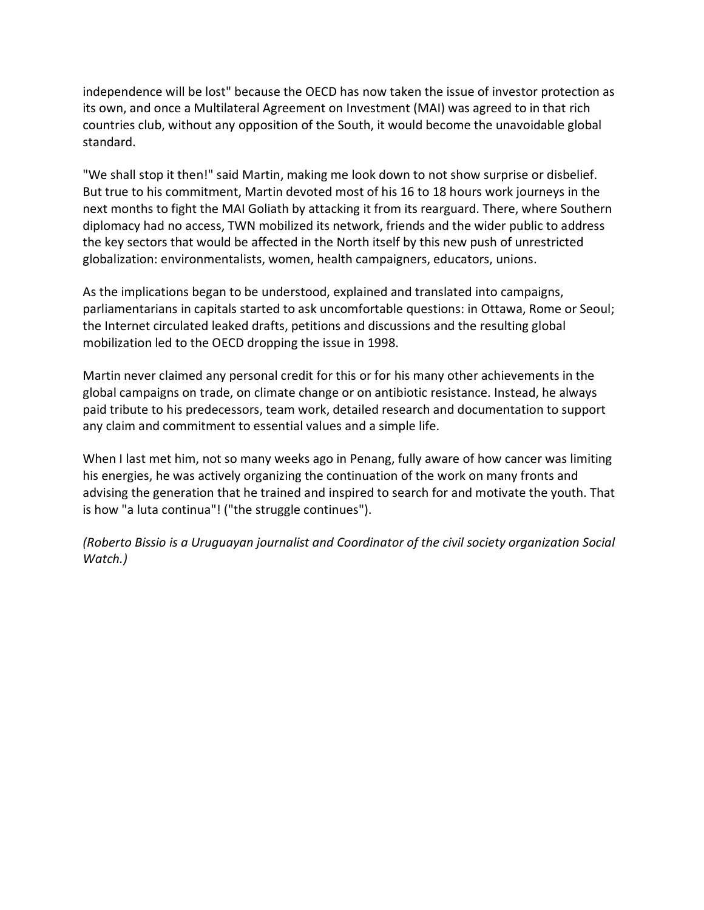independence will be lost" because the OECD has now taken the issue of investor protection as its own, and once a Multilateral Agreement on Investment (MAI) was agreed to in that rich countries club, without any opposition of the South, it would become the unavoidable global standard.

"We shall stop it then!" said Martin, making me look down to not show surprise or disbelief. But true to his commitment, Martin devoted most of his 16 to 18 hours work journeys in the next months to fight the MAI Goliath by attacking it from its rearguard. There, where Southern diplomacy had no access, TWN mobilized its network, friends and the wider public to address the key sectors that would be affected in the North itself by this new push of unrestricted globalization: environmentalists, women, health campaigners, educators, unions.

As the implications began to be understood, explained and translated into campaigns, parliamentarians in capitals started to ask uncomfortable questions: in Ottawa, Rome or Seoul; the Internet circulated leaked drafts, petitions and discussions and the resulting global mobilization led to the OECD dropping the issue in 1998.

Martin never claimed any personal credit for this or for his many other achievements in the global campaigns on trade, on climate change or on antibiotic resistance. Instead, he always paid tribute to his predecessors, team work, detailed research and documentation to support any claim and commitment to essential values and a simple life.

When I last met him, not so many weeks ago in Penang, fully aware of how cancer was limiting his energies, he was actively organizing the continuation of the work on many fronts and advising the generation that he trained and inspired to search for and motivate the youth. That is how "a luta continua"! ("the struggle continues").

*(Roberto Bissio is a Uruguayan journalist and Coordinator of the civil society organization Social Watch.)*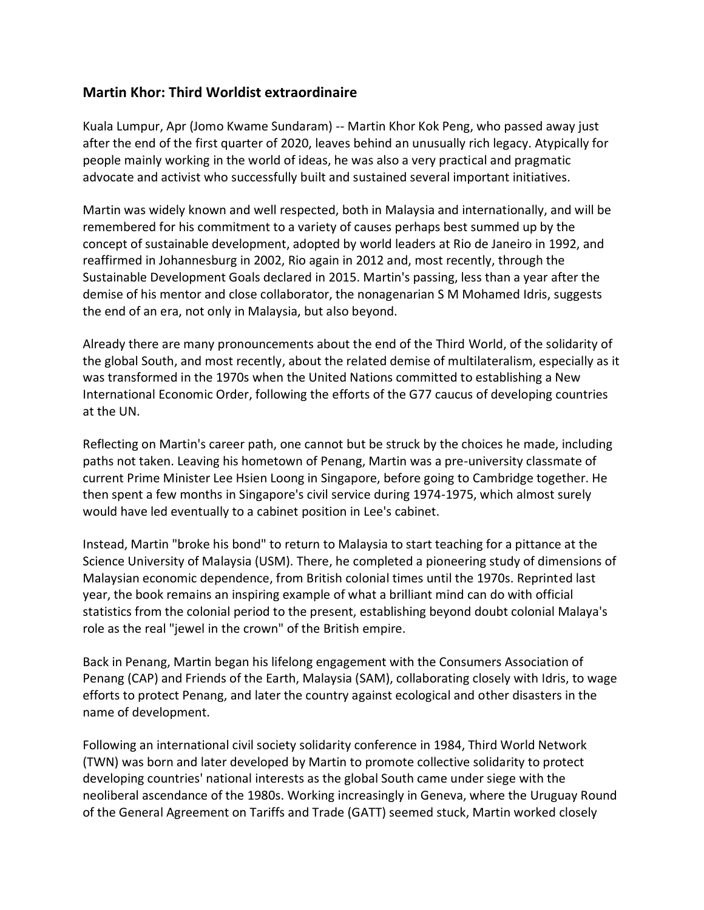#### <span id="page-15-0"></span>**Martin Khor: Third Worldist extraordinaire**

Kuala Lumpur, Apr (Jomo Kwame Sundaram) -- Martin Khor Kok Peng, who passed away just after the end of the first quarter of 2020, leaves behind an unusually rich legacy. Atypically for people mainly working in the world of ideas, he was also a very practical and pragmatic advocate and activist who successfully built and sustained several important initiatives.

Martin was widely known and well respected, both in Malaysia and internationally, and will be remembered for his commitment to a variety of causes perhaps best summed up by the concept of sustainable development, adopted by world leaders at Rio de Janeiro in 1992, and reaffirmed in Johannesburg in 2002, Rio again in 2012 and, most recently, through the Sustainable Development Goals declared in 2015. Martin's passing, less than a year after the demise of his mentor and close collaborator, the nonagenarian S M Mohamed Idris, suggests the end of an era, not only in Malaysia, but also beyond.

Already there are many pronouncements about the end of the Third World, of the solidarity of the global South, and most recently, about the related demise of multilateralism, especially as it was transformed in the 1970s when the United Nations committed to establishing a New International Economic Order, following the efforts of the G77 caucus of developing countries at the UN.

Reflecting on Martin's career path, one cannot but be struck by the choices he made, including paths not taken. Leaving his hometown of Penang, Martin was a pre-university classmate of current Prime Minister Lee Hsien Loong in Singapore, before going to Cambridge together. He then spent a few months in Singapore's civil service during 1974-1975, which almost surely would have led eventually to a cabinet position in Lee's cabinet.

Instead, Martin "broke his bond" to return to Malaysia to start teaching for a pittance at the Science University of Malaysia (USM). There, he completed a pioneering study of dimensions of Malaysian economic dependence, from British colonial times until the 1970s. Reprinted last year, the book remains an inspiring example of what a brilliant mind can do with official statistics from the colonial period to the present, establishing beyond doubt colonial Malaya's role as the real "jewel in the crown" of the British empire.

Back in Penang, Martin began his lifelong engagement with the Consumers Association of Penang (CAP) and Friends of the Earth, Malaysia (SAM), collaborating closely with Idris, to wage efforts to protect Penang, and later the country against ecological and other disasters in the name of development.

Following an international civil society solidarity conference in 1984, Third World Network (TWN) was born and later developed by Martin to promote collective solidarity to protect developing countries' national interests as the global South came under siege with the neoliberal ascendance of the 1980s. Working increasingly in Geneva, where the Uruguay Round of the General Agreement on Tariffs and Trade (GATT) seemed stuck, Martin worked closely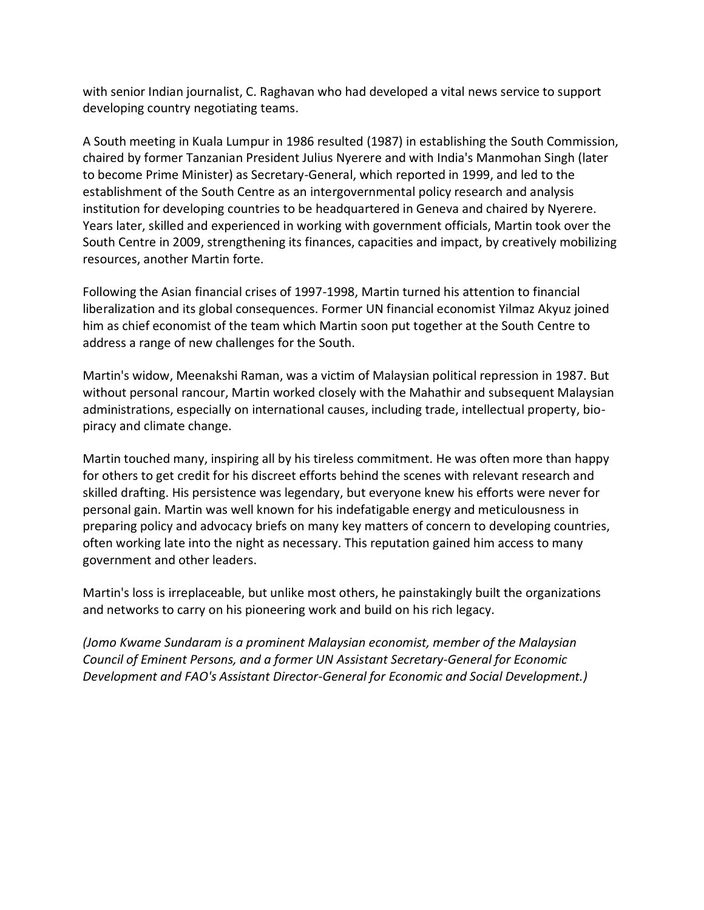with senior Indian journalist, C. Raghavan who had developed a vital news service to support developing country negotiating teams.

A South meeting in Kuala Lumpur in 1986 resulted (1987) in establishing the South Commission, chaired by former Tanzanian President Julius Nyerere and with India's Manmohan Singh (later to become Prime Minister) as Secretary-General, which reported in 1999, and led to the establishment of the South Centre as an intergovernmental policy research and analysis institution for developing countries to be headquartered in Geneva and chaired by Nyerere. Years later, skilled and experienced in working with government officials, Martin took over the South Centre in 2009, strengthening its finances, capacities and impact, by creatively mobilizing resources, another Martin forte.

Following the Asian financial crises of 1997-1998, Martin turned his attention to financial liberalization and its global consequences. Former UN financial economist Yilmaz Akyuz joined him as chief economist of the team which Martin soon put together at the South Centre to address a range of new challenges for the South.

Martin's widow, Meenakshi Raman, was a victim of Malaysian political repression in 1987. But without personal rancour, Martin worked closely with the Mahathir and subsequent Malaysian administrations, especially on international causes, including trade, intellectual property, biopiracy and climate change.

Martin touched many, inspiring all by his tireless commitment. He was often more than happy for others to get credit for his discreet efforts behind the scenes with relevant research and skilled drafting. His persistence was legendary, but everyone knew his efforts were never for personal gain. Martin was well known for his indefatigable energy and meticulousness in preparing policy and advocacy briefs on many key matters of concern to developing countries, often working late into the night as necessary. This reputation gained him access to many government and other leaders.

Martin's loss is irreplaceable, but unlike most others, he painstakingly built the organizations and networks to carry on his pioneering work and build on his rich legacy.

*(Jomo Kwame Sundaram is a prominent Malaysian economist, member of the Malaysian Council of Eminent Persons, and a former UN Assistant Secretary-General for Economic Development and FAO's Assistant Director-General for Economic and Social Development.)*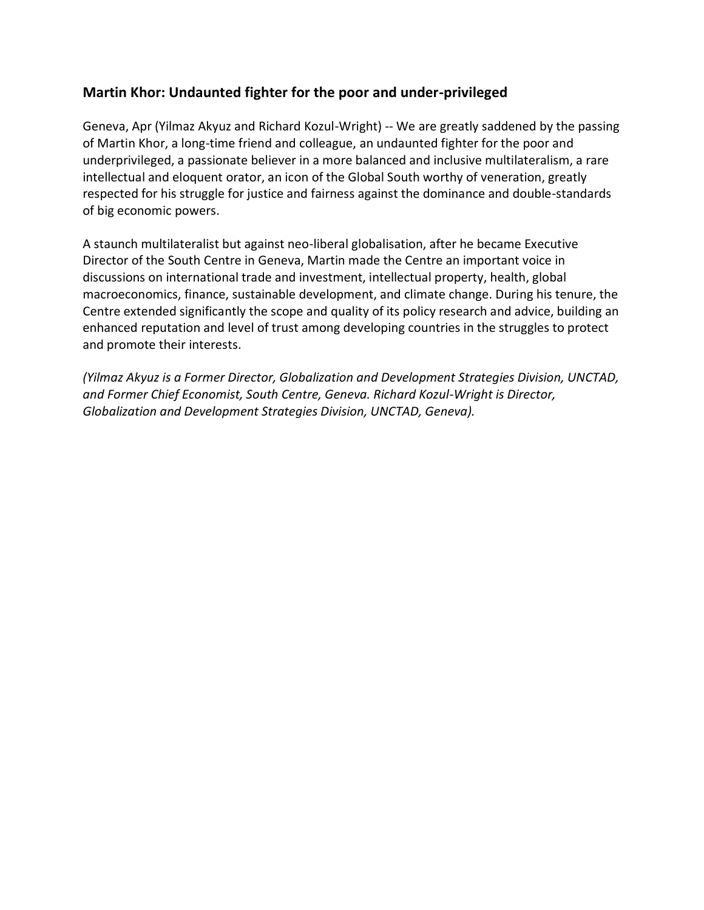## <span id="page-17-0"></span>**Martin Khor: Undaunted fighter for the poor and under-privileged**

Geneva, Apr (Yilmaz Akyuz and Richard Kozul-Wright) -- We are greatly saddened by the passing of Martin Khor, a long-time friend and colleague, an undaunted fighter for the poor and underprivileged, a passionate believer in a more balanced and inclusive multilateralism, a rare intellectual and eloquent orator, an icon of the Global South worthy of veneration, greatly respected for his struggle for justice and fairness against the dominance and double-standards of big economic powers.

A staunch multilateralist but against neo-liberal globalisation, after he became Executive Director of the South Centre in Geneva, Martin made the Centre an important voice in discussions on international trade and investment, intellectual property, health, global macroeconomics, finance, sustainable development, and climate change. During his tenure, the Centre extended significantly the scope and quality of its policy research and advice, building an enhanced reputation and level of trust among developing countries in the struggles to protect and promote their interests.

*(Yilmaz Akyuz is a Former Director, Globalization and Development Strategies Division, UNCTAD, and Former Chief Economist, South Centre, Geneva. Richard Kozul-Wright is Director, Globalization and Development Strategies Division, UNCTAD, Geneva).*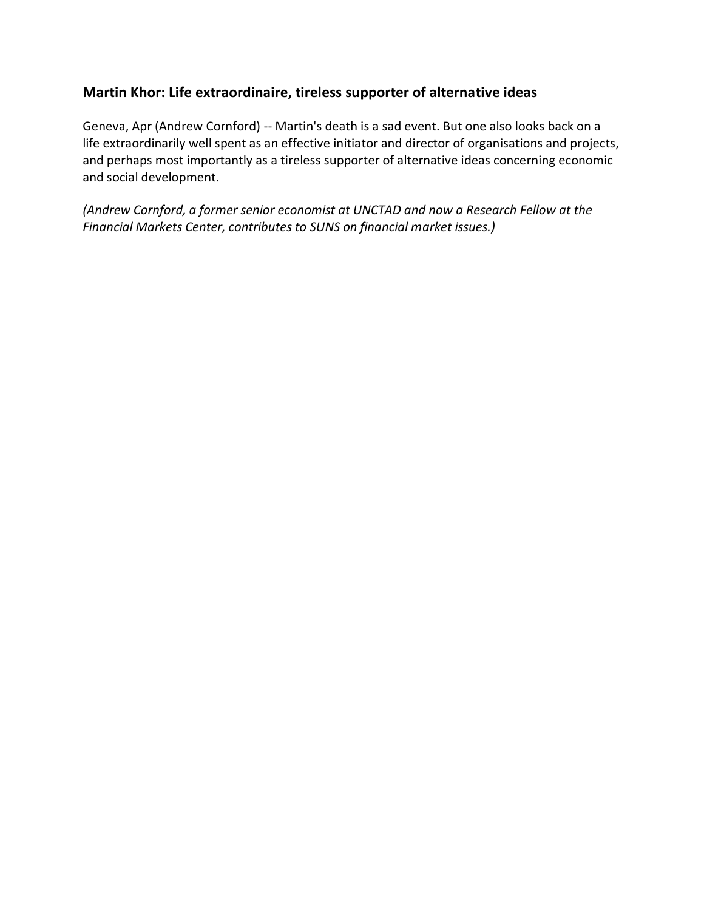## <span id="page-18-0"></span>**Martin Khor: Life extraordinaire, tireless supporter of alternative ideas**

Geneva, Apr (Andrew Cornford) -- Martin's death is a sad event. But one also looks back on a life extraordinarily well spent as an effective initiator and director of organisations and projects, and perhaps most importantly as a tireless supporter of alternative ideas concerning economic and social development.

*(Andrew Cornford, a former senior economist at UNCTAD and now a Research Fellow at the Financial Markets Center, contributes to SUNS on financial market issues.)*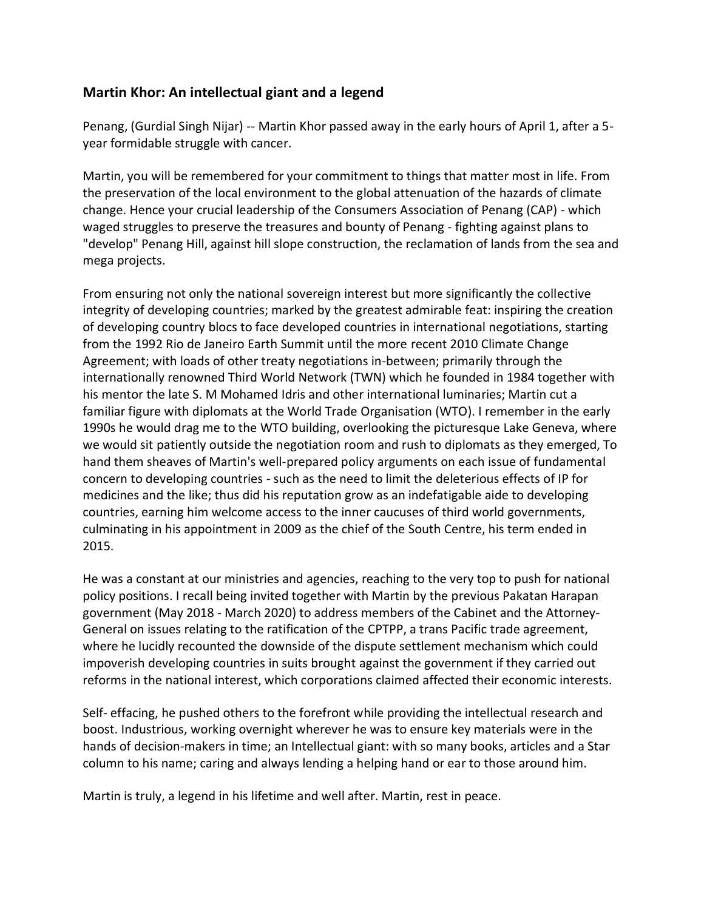## <span id="page-19-0"></span>**Martin Khor: An intellectual giant and a legend**

Penang, (Gurdial Singh Nijar) -- Martin Khor passed away in the early hours of April 1, after a 5 year formidable struggle with cancer.

Martin, you will be remembered for your commitment to things that matter most in life. From the preservation of the local environment to the global attenuation of the hazards of climate change. Hence your crucial leadership of the Consumers Association of Penang (CAP) - which waged struggles to preserve the treasures and bounty of Penang - fighting against plans to "develop" Penang Hill, against hill slope construction, the reclamation of lands from the sea and mega projects.

From ensuring not only the national sovereign interest but more significantly the collective integrity of developing countries; marked by the greatest admirable feat: inspiring the creation of developing country blocs to face developed countries in international negotiations, starting from the 1992 Rio de Janeiro Earth Summit until the more recent 2010 Climate Change Agreement; with loads of other treaty negotiations in-between; primarily through the internationally renowned Third World Network (TWN) which he founded in 1984 together with his mentor the late S. M Mohamed Idris and other international luminaries; Martin cut a familiar figure with diplomats at the World Trade Organisation (WTO). I remember in the early 1990s he would drag me to the WTO building, overlooking the picturesque Lake Geneva, where we would sit patiently outside the negotiation room and rush to diplomats as they emerged, To hand them sheaves of Martin's well-prepared policy arguments on each issue of fundamental concern to developing countries - such as the need to limit the deleterious effects of IP for medicines and the like; thus did his reputation grow as an indefatigable aide to developing countries, earning him welcome access to the inner caucuses of third world governments, culminating in his appointment in 2009 as the chief of the South Centre, his term ended in 2015.

He was a constant at our ministries and agencies, reaching to the very top to push for national policy positions. I recall being invited together with Martin by the previous Pakatan Harapan government (May 2018 - March 2020) to address members of the Cabinet and the Attorney-General on issues relating to the ratification of the CPTPP, a trans Pacific trade agreement, where he lucidly recounted the downside of the dispute settlement mechanism which could impoverish developing countries in suits brought against the government if they carried out reforms in the national interest, which corporations claimed affected their economic interests.

Self- effacing, he pushed others to the forefront while providing the intellectual research and boost. Industrious, working overnight wherever he was to ensure key materials were in the hands of decision-makers in time; an Intellectual giant: with so many books, articles and a Star column to his name; caring and always lending a helping hand or ear to those around him.

Martin is truly, a legend in his lifetime and well after. Martin, rest in peace.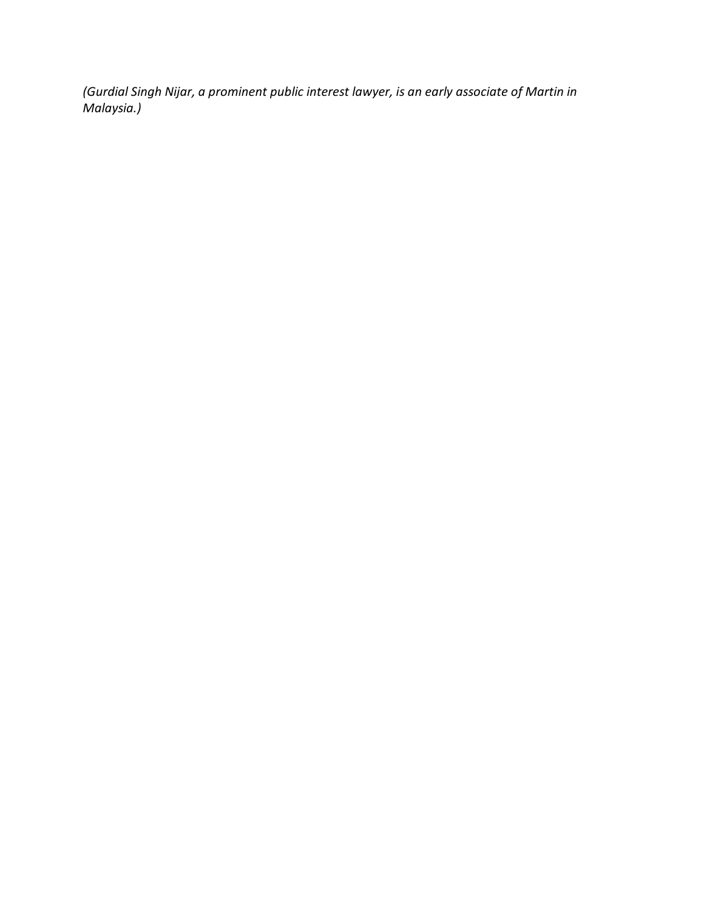*(Gurdial Singh Nijar, a prominent public interest lawyer, is an early associate of Martin in Malaysia.)*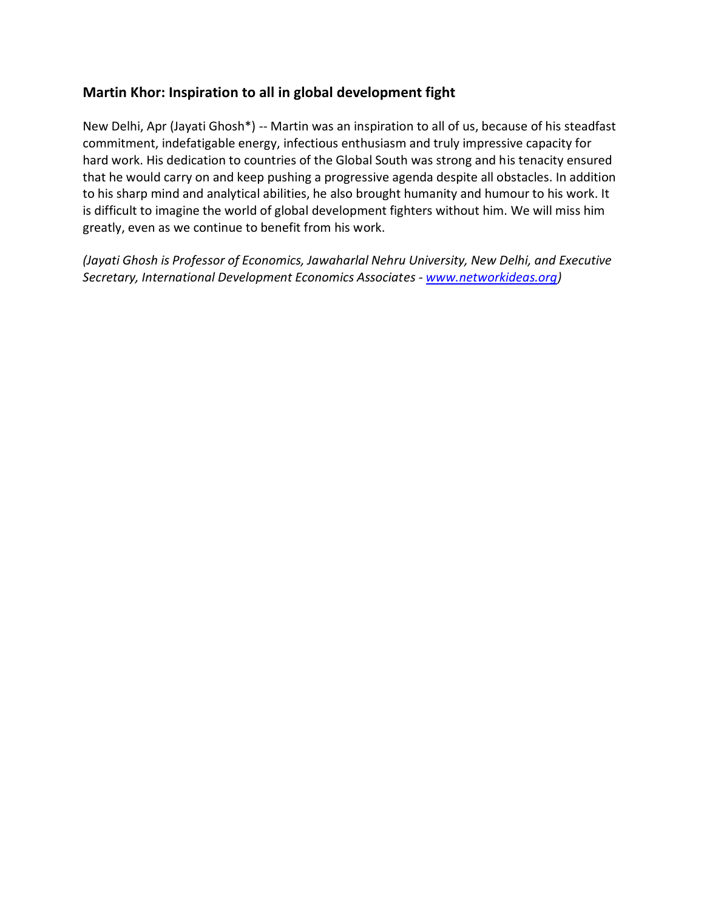## <span id="page-21-0"></span>**Martin Khor: Inspiration to all in global development fight**

New Delhi, Apr (Jayati Ghosh\*) -- Martin was an inspiration to all of us, because of his steadfast commitment, indefatigable energy, infectious enthusiasm and truly impressive capacity for hard work. His dedication to countries of the Global South was strong and his tenacity ensured that he would carry on and keep pushing a progressive agenda despite all obstacles. In addition to his sharp mind and analytical abilities, he also brought humanity and humour to his work. It is difficult to imagine the world of global development fighters without him. We will miss him greatly, even as we continue to benefit from his work.

*(Jayati Ghosh is Professor of Economics, Jawaharlal Nehru University, New Delhi, and Executive Secretary, International Development Economics Associates - [www.networkideas.org\)](http://www.networkideas.org/)*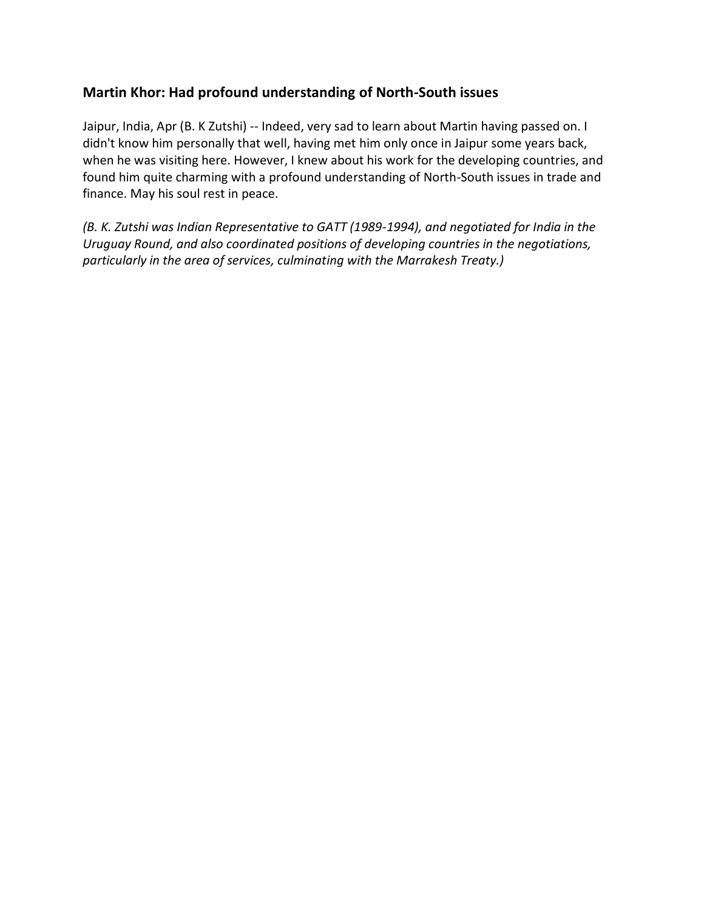## <span id="page-22-0"></span>**Martin Khor: Had profound understanding of North-South issues**

Jaipur, India, Apr (B. K Zutshi) -- Indeed, very sad to learn about Martin having passed on. I didn't know him personally that well, having met him only once in Jaipur some years back, when he was visiting here. However, I knew about his work for the developing countries, and found him quite charming with a profound understanding of North-South issues in trade and finance. May his soul rest in peace.

*(B. K. Zutshi was Indian Representative to GATT (1989-1994), and negotiated for India in the Uruguay Round, and also coordinated positions of developing countries in the negotiations, particularly in the area of services, culminating with the Marrakesh Treaty.)*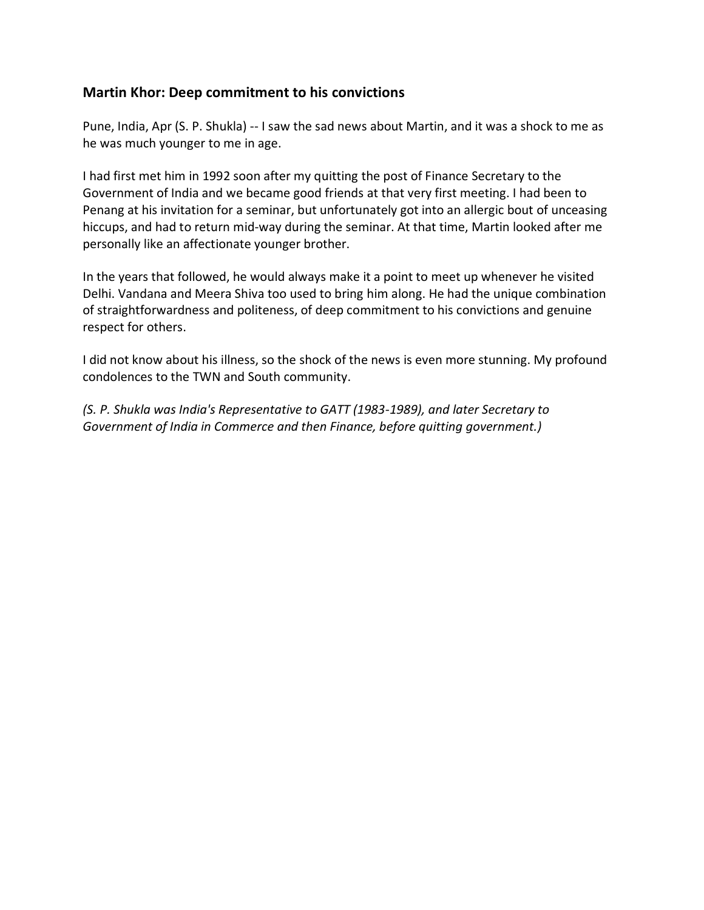#### <span id="page-23-0"></span>**Martin Khor: Deep commitment to his convictions**

Pune, India, Apr (S. P. Shukla) -- I saw the sad news about Martin, and it was a shock to me as he was much younger to me in age.

I had first met him in 1992 soon after my quitting the post of Finance Secretary to the Government of India and we became good friends at that very first meeting. I had been to Penang at his invitation for a seminar, but unfortunately got into an allergic bout of unceasing hiccups, and had to return mid-way during the seminar. At that time, Martin looked after me personally like an affectionate younger brother.

In the years that followed, he would always make it a point to meet up whenever he visited Delhi. Vandana and Meera Shiva too used to bring him along. He had the unique combination of straightforwardness and politeness, of deep commitment to his convictions and genuine respect for others.

I did not know about his illness, so the shock of the news is even more stunning. My profound condolences to the TWN and South community.

*(S. P. Shukla was India's Representative to GATT (1983-1989), and later Secretary to Government of India in Commerce and then Finance, before quitting government.)*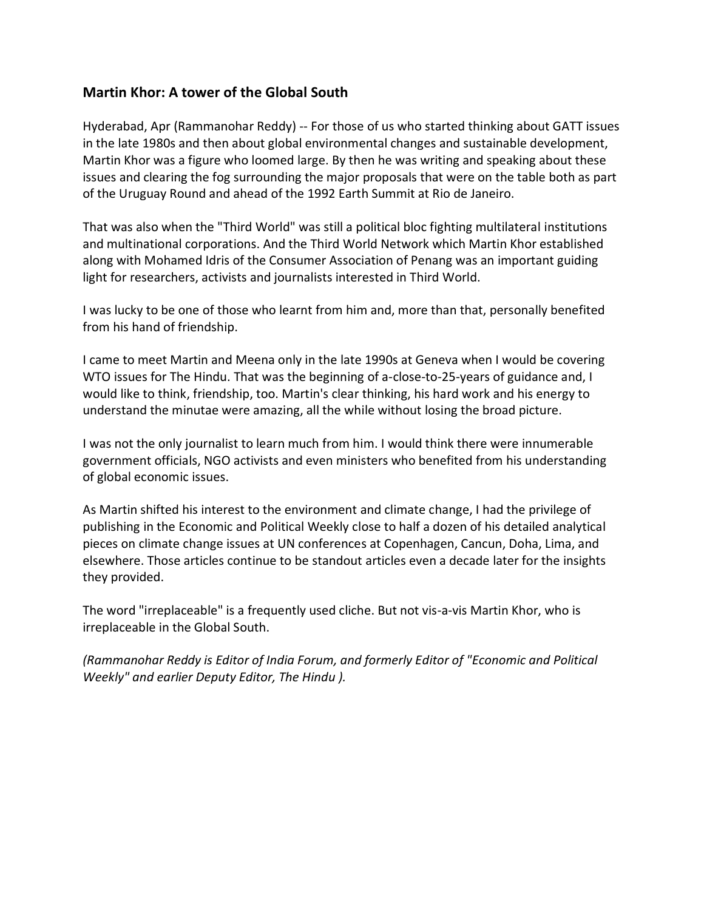#### <span id="page-24-0"></span>**Martin Khor: A tower of the Global South**

Hyderabad, Apr (Rammanohar Reddy) -- For those of us who started thinking about GATT issues in the late 1980s and then about global environmental changes and sustainable development, Martin Khor was a figure who loomed large. By then he was writing and speaking about these issues and clearing the fog surrounding the major proposals that were on the table both as part of the Uruguay Round and ahead of the 1992 Earth Summit at Rio de Janeiro.

That was also when the "Third World" was still a political bloc fighting multilateral institutions and multinational corporations. And the Third World Network which Martin Khor established along with Mohamed Idris of the Consumer Association of Penang was an important guiding light for researchers, activists and journalists interested in Third World.

I was lucky to be one of those who learnt from him and, more than that, personally benefited from his hand of friendship.

I came to meet Martin and Meena only in the late 1990s at Geneva when I would be covering WTO issues for The Hindu. That was the beginning of a-close-to-25-years of guidance and, I would like to think, friendship, too. Martin's clear thinking, his hard work and his energy to understand the minutae were amazing, all the while without losing the broad picture.

I was not the only journalist to learn much from him. I would think there were innumerable government officials, NGO activists and even ministers who benefited from his understanding of global economic issues.

As Martin shifted his interest to the environment and climate change, I had the privilege of publishing in the Economic and Political Weekly close to half a dozen of his detailed analytical pieces on climate change issues at UN conferences at Copenhagen, Cancun, Doha, Lima, and elsewhere. Those articles continue to be standout articles even a decade later for the insights they provided.

The word "irreplaceable" is a frequently used cliche. But not vis-a-vis Martin Khor, who is irreplaceable in the Global South.

*(Rammanohar Reddy is Editor of India Forum, and formerly Editor of "Economic and Political Weekly" and earlier Deputy Editor, The Hindu ).*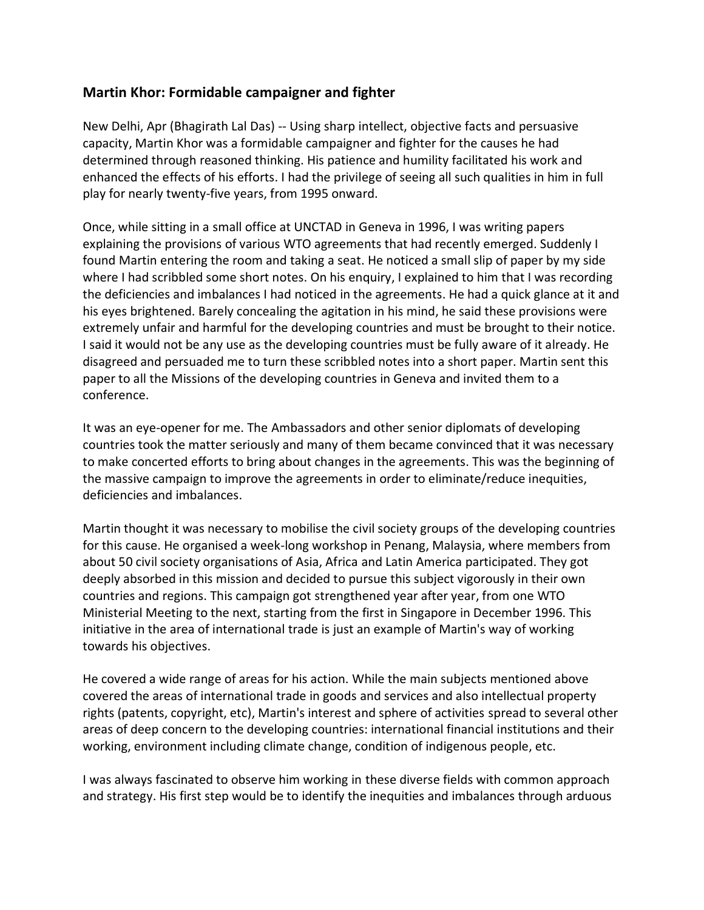## <span id="page-25-0"></span>**Martin Khor: Formidable campaigner and fighter**

New Delhi, Apr (Bhagirath Lal Das) -- Using sharp intellect, objective facts and persuasive capacity, Martin Khor was a formidable campaigner and fighter for the causes he had determined through reasoned thinking. His patience and humility facilitated his work and enhanced the effects of his efforts. I had the privilege of seeing all such qualities in him in full play for nearly twenty-five years, from 1995 onward.

Once, while sitting in a small office at UNCTAD in Geneva in 1996, I was writing papers explaining the provisions of various WTO agreements that had recently emerged. Suddenly I found Martin entering the room and taking a seat. He noticed a small slip of paper by my side where I had scribbled some short notes. On his enquiry, I explained to him that I was recording the deficiencies and imbalances I had noticed in the agreements. He had a quick glance at it and his eyes brightened. Barely concealing the agitation in his mind, he said these provisions were extremely unfair and harmful for the developing countries and must be brought to their notice. I said it would not be any use as the developing countries must be fully aware of it already. He disagreed and persuaded me to turn these scribbled notes into a short paper. Martin sent this paper to all the Missions of the developing countries in Geneva and invited them to a conference.

It was an eye-opener for me. The Ambassadors and other senior diplomats of developing countries took the matter seriously and many of them became convinced that it was necessary to make concerted efforts to bring about changes in the agreements. This was the beginning of the massive campaign to improve the agreements in order to eliminate/reduce inequities, deficiencies and imbalances.

Martin thought it was necessary to mobilise the civil society groups of the developing countries for this cause. He organised a week-long workshop in Penang, Malaysia, where members from about 50 civil society organisations of Asia, Africa and Latin America participated. They got deeply absorbed in this mission and decided to pursue this subject vigorously in their own countries and regions. This campaign got strengthened year after year, from one WTO Ministerial Meeting to the next, starting from the first in Singapore in December 1996. This initiative in the area of international trade is just an example of Martin's way of working towards his objectives.

He covered a wide range of areas for his action. While the main subjects mentioned above covered the areas of international trade in goods and services and also intellectual property rights (patents, copyright, etc), Martin's interest and sphere of activities spread to several other areas of deep concern to the developing countries: international financial institutions and their working, environment including climate change, condition of indigenous people, etc.

I was always fascinated to observe him working in these diverse fields with common approach and strategy. His first step would be to identify the inequities and imbalances through arduous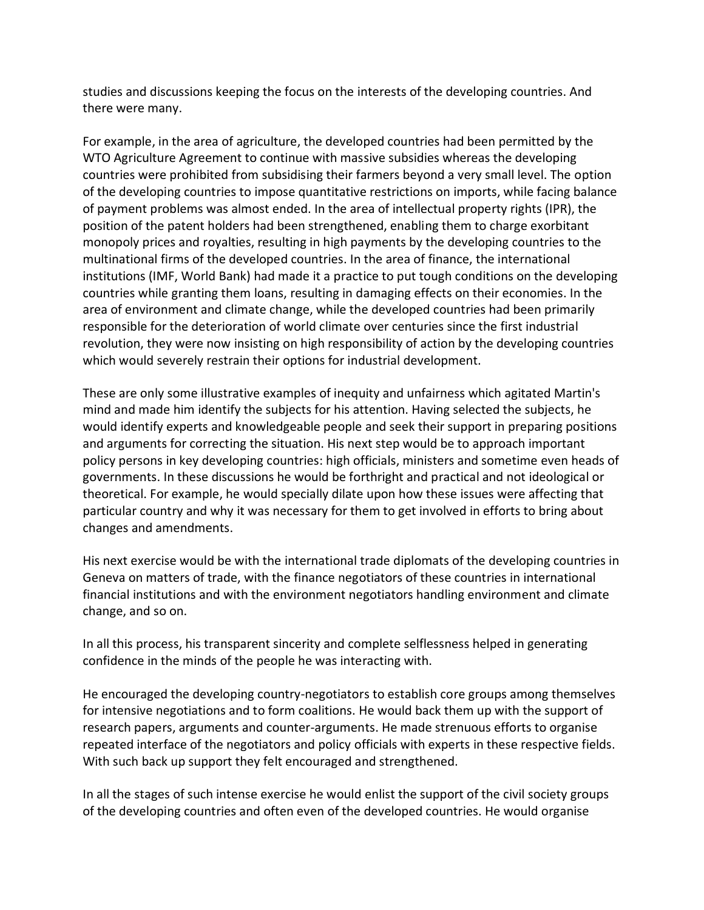studies and discussions keeping the focus on the interests of the developing countries. And there were many.

For example, in the area of agriculture, the developed countries had been permitted by the WTO Agriculture Agreement to continue with massive subsidies whereas the developing countries were prohibited from subsidising their farmers beyond a very small level. The option of the developing countries to impose quantitative restrictions on imports, while facing balance of payment problems was almost ended. In the area of intellectual property rights (IPR), the position of the patent holders had been strengthened, enabling them to charge exorbitant monopoly prices and royalties, resulting in high payments by the developing countries to the multinational firms of the developed countries. In the area of finance, the international institutions (IMF, World Bank) had made it a practice to put tough conditions on the developing countries while granting them loans, resulting in damaging effects on their economies. In the area of environment and climate change, while the developed countries had been primarily responsible for the deterioration of world climate over centuries since the first industrial revolution, they were now insisting on high responsibility of action by the developing countries which would severely restrain their options for industrial development.

These are only some illustrative examples of inequity and unfairness which agitated Martin's mind and made him identify the subjects for his attention. Having selected the subjects, he would identify experts and knowledgeable people and seek their support in preparing positions and arguments for correcting the situation. His next step would be to approach important policy persons in key developing countries: high officials, ministers and sometime even heads of governments. In these discussions he would be forthright and practical and not ideological or theoretical. For example, he would specially dilate upon how these issues were affecting that particular country and why it was necessary for them to get involved in efforts to bring about changes and amendments.

His next exercise would be with the international trade diplomats of the developing countries in Geneva on matters of trade, with the finance negotiators of these countries in international financial institutions and with the environment negotiators handling environment and climate change, and so on.

In all this process, his transparent sincerity and complete selflessness helped in generating confidence in the minds of the people he was interacting with.

He encouraged the developing country-negotiators to establish core groups among themselves for intensive negotiations and to form coalitions. He would back them up with the support of research papers, arguments and counter-arguments. He made strenuous efforts to organise repeated interface of the negotiators and policy officials with experts in these respective fields. With such back up support they felt encouraged and strengthened.

In all the stages of such intense exercise he would enlist the support of the civil society groups of the developing countries and often even of the developed countries. He would organise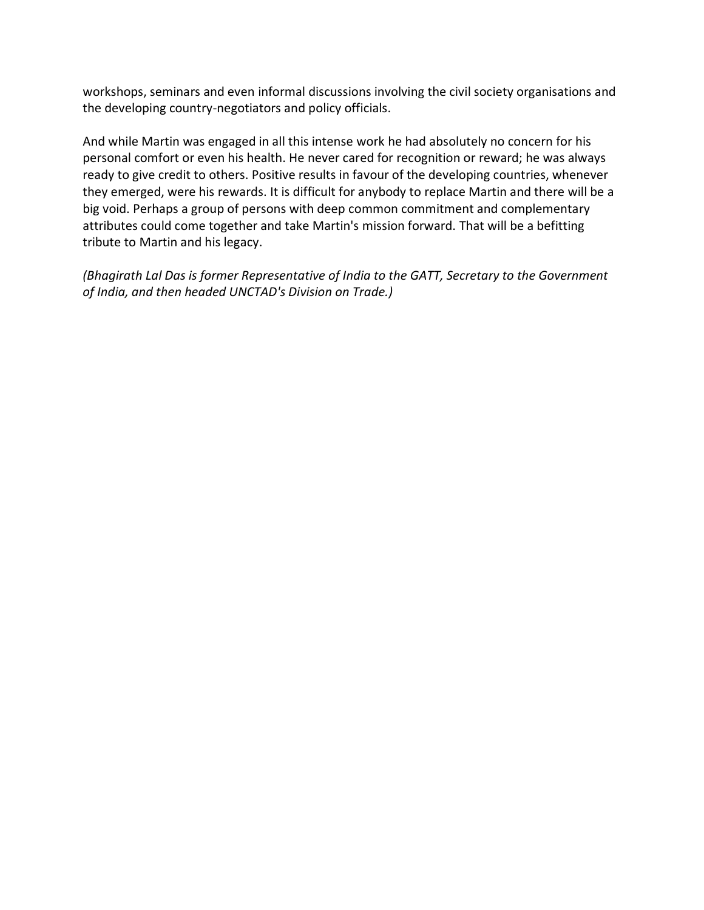workshops, seminars and even informal discussions involving the civil society organisations and the developing country-negotiators and policy officials.

And while Martin was engaged in all this intense work he had absolutely no concern for his personal comfort or even his health. He never cared for recognition or reward; he was always ready to give credit to others. Positive results in favour of the developing countries, whenever they emerged, were his rewards. It is difficult for anybody to replace Martin and there will be a big void. Perhaps a group of persons with deep common commitment and complementary attributes could come together and take Martin's mission forward. That will be a befitting tribute to Martin and his legacy.

*(Bhagirath Lal Das is former Representative of India to the GATT, Secretary to the Government of India, and then headed UNCTAD's Division on Trade.)*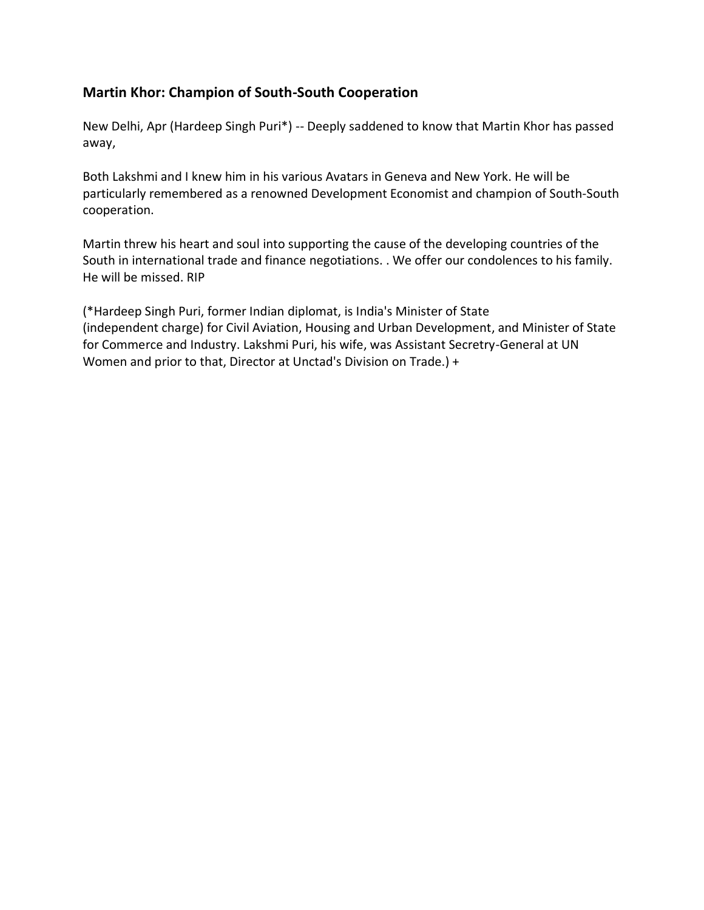## <span id="page-28-0"></span>**Martin Khor: Champion of South-South Cooperation**

New Delhi, Apr (Hardeep Singh Puri\*) -- Deeply saddened to know that Martin Khor has passed away,

Both Lakshmi and I knew him in his various Avatars in Geneva and New York. He will be particularly remembered as a renowned Development Economist and champion of South-South cooperation.

Martin threw his heart and soul into supporting the cause of the developing countries of the South in international trade and finance negotiations. . We offer our condolences to his family. He will be missed. RIP

(\*Hardeep Singh Puri, former Indian diplomat, is India's Minister of State (independent charge) for Civil Aviation, Housing and Urban Development, and Minister of State for Commerce and Industry. Lakshmi Puri, his wife, was Assistant Secretry-General at UN Women and prior to that, Director at Unctad's Division on Trade.) +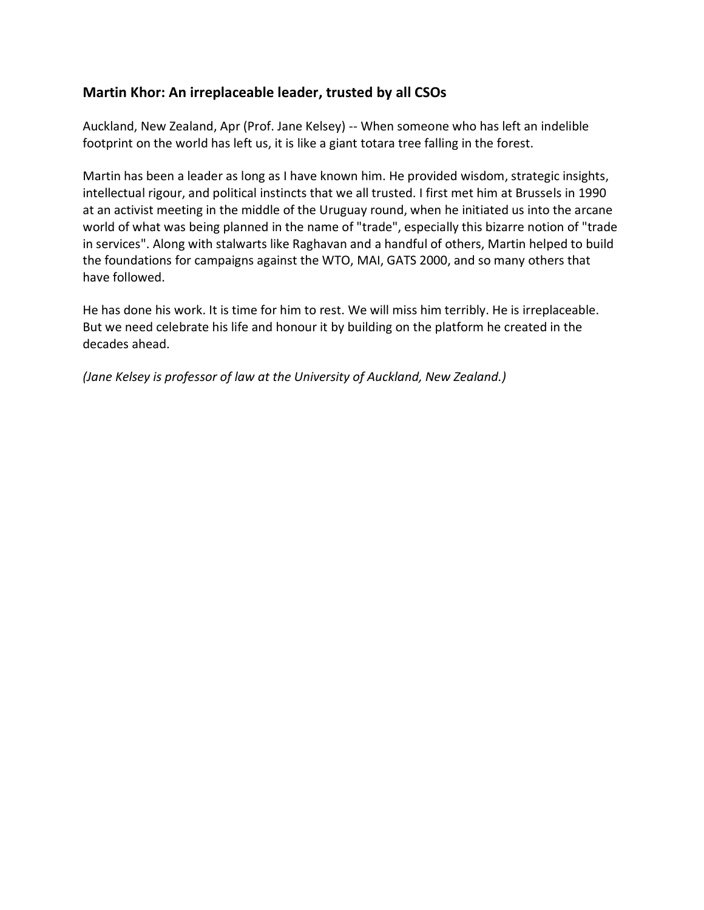## <span id="page-29-0"></span>**Martin Khor: An irreplaceable leader, trusted by all CSOs**

Auckland, New Zealand, Apr (Prof. Jane Kelsey) -- When someone who has left an indelible footprint on the world has left us, it is like a giant totara tree falling in the forest.

Martin has been a leader as long as I have known him. He provided wisdom, strategic insights, intellectual rigour, and political instincts that we all trusted. I first met him at Brussels in 1990 at an activist meeting in the middle of the Uruguay round, when he initiated us into the arcane world of what was being planned in the name of "trade", especially this bizarre notion of "trade in services". Along with stalwarts like Raghavan and a handful of others, Martin helped to build the foundations for campaigns against the WTO, MAI, GATS 2000, and so many others that have followed.

He has done his work. It is time for him to rest. We will miss him terribly. He is irreplaceable. But we need celebrate his life and honour it by building on the platform he created in the decades ahead.

*(Jane Kelsey is professor of law at the University of Auckland, New Zealand.)*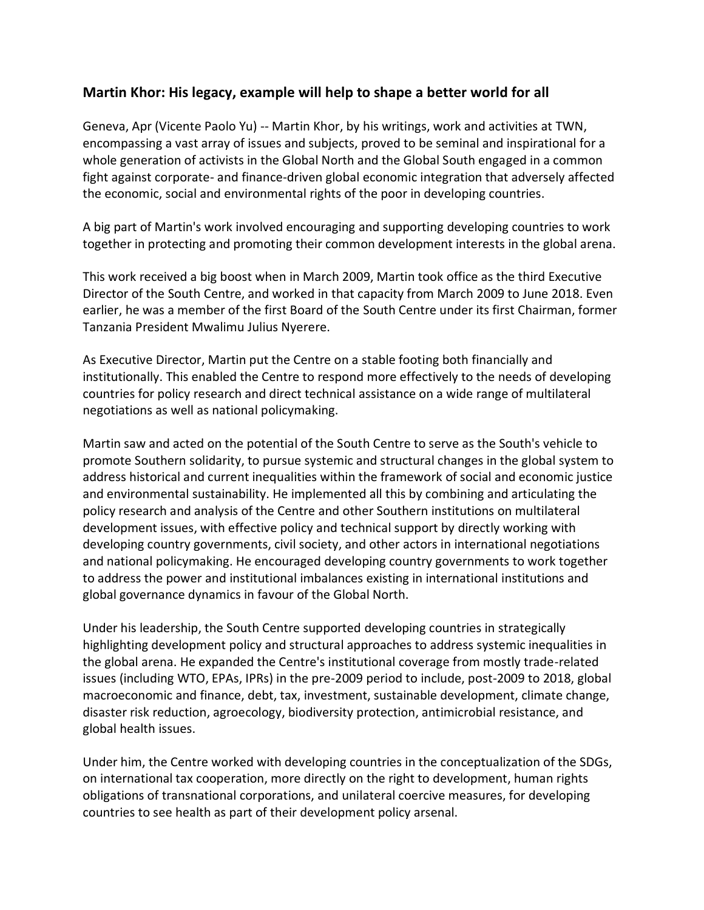### <span id="page-30-0"></span>**Martin Khor: His legacy, example will help to shape a better world for all**

Geneva, Apr (Vicente Paolo Yu) -- Martin Khor, by his writings, work and activities at TWN, encompassing a vast array of issues and subjects, proved to be seminal and inspirational for a whole generation of activists in the Global North and the Global South engaged in a common fight against corporate- and finance-driven global economic integration that adversely affected the economic, social and environmental rights of the poor in developing countries.

A big part of Martin's work involved encouraging and supporting developing countries to work together in protecting and promoting their common development interests in the global arena.

This work received a big boost when in March 2009, Martin took office as the third Executive Director of the South Centre, and worked in that capacity from March 2009 to June 2018. Even earlier, he was a member of the first Board of the South Centre under its first Chairman, former Tanzania President Mwalimu Julius Nyerere.

As Executive Director, Martin put the Centre on a stable footing both financially and institutionally. This enabled the Centre to respond more effectively to the needs of developing countries for policy research and direct technical assistance on a wide range of multilateral negotiations as well as national policymaking.

Martin saw and acted on the potential of the South Centre to serve as the South's vehicle to promote Southern solidarity, to pursue systemic and structural changes in the global system to address historical and current inequalities within the framework of social and economic justice and environmental sustainability. He implemented all this by combining and articulating the policy research and analysis of the Centre and other Southern institutions on multilateral development issues, with effective policy and technical support by directly working with developing country governments, civil society, and other actors in international negotiations and national policymaking. He encouraged developing country governments to work together to address the power and institutional imbalances existing in international institutions and global governance dynamics in favour of the Global North.

Under his leadership, the South Centre supported developing countries in strategically highlighting development policy and structural approaches to address systemic inequalities in the global arena. He expanded the Centre's institutional coverage from mostly trade-related issues (including WTO, EPAs, IPRs) in the pre-2009 period to include, post-2009 to 2018, global macroeconomic and finance, debt, tax, investment, sustainable development, climate change, disaster risk reduction, agroecology, biodiversity protection, antimicrobial resistance, and global health issues.

Under him, the Centre worked with developing countries in the conceptualization of the SDGs, on international tax cooperation, more directly on the right to development, human rights obligations of transnational corporations, and unilateral coercive measures, for developing countries to see health as part of their development policy arsenal.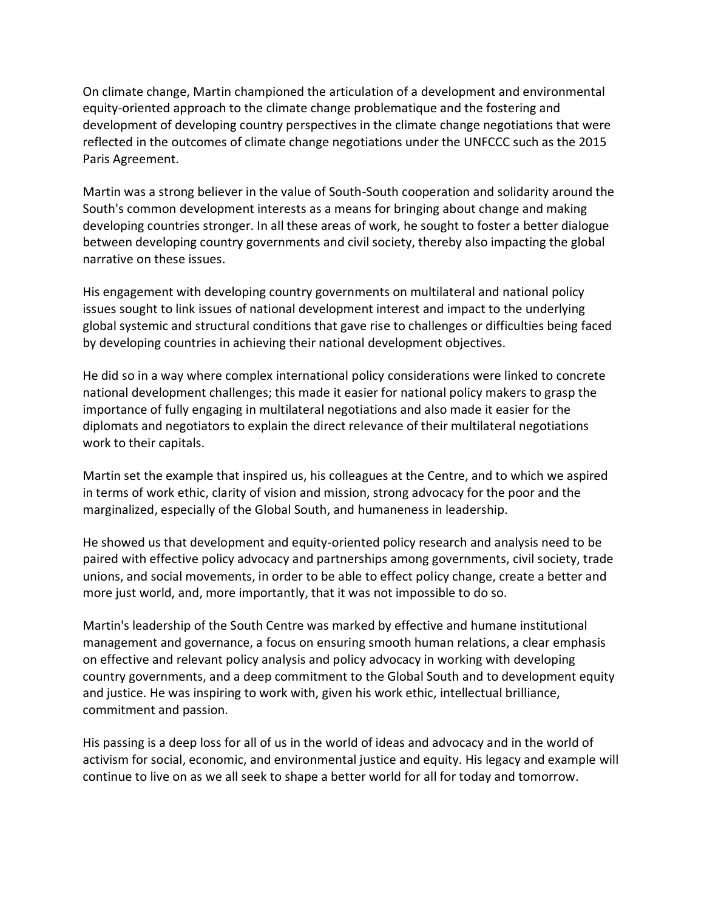On climate change, Martin championed the articulation of a development and environmental equity-oriented approach to the climate change problematique and the fostering and development of developing country perspectives in the climate change negotiations that were reflected in the outcomes of climate change negotiations under the UNFCCC such as the 2015 Paris Agreement.

Martin was a strong believer in the value of South-South cooperation and solidarity around the South's common development interests as a means for bringing about change and making developing countries stronger. In all these areas of work, he sought to foster a better dialogue between developing country governments and civil society, thereby also impacting the global narrative on these issues.

His engagement with developing country governments on multilateral and national policy issues sought to link issues of national development interest and impact to the underlying global systemic and structural conditions that gave rise to challenges or difficulties being faced by developing countries in achieving their national development objectives.

He did so in a way where complex international policy considerations were linked to concrete national development challenges; this made it easier for national policy makers to grasp the importance of fully engaging in multilateral negotiations and also made it easier for the diplomats and negotiators to explain the direct relevance of their multilateral negotiations work to their capitals.

Martin set the example that inspired us, his colleagues at the Centre, and to which we aspired in terms of work ethic, clarity of vision and mission, strong advocacy for the poor and the marginalized, especially of the Global South, and humaneness in leadership.

He showed us that development and equity-oriented policy research and analysis need to be paired with effective policy advocacy and partnerships among governments, civil society, trade unions, and social movements, in order to be able to effect policy change, create a better and more just world, and, more importantly, that it was not impossible to do so.

Martin's leadership of the South Centre was marked by effective and humane institutional management and governance, a focus on ensuring smooth human relations, a clear emphasis on effective and relevant policy analysis and policy advocacy in working with developing country governments, and a deep commitment to the Global South and to development equity and justice. He was inspiring to work with, given his work ethic, intellectual brilliance, commitment and passion.

His passing is a deep loss for all of us in the world of ideas and advocacy and in the world of activism for social, economic, and environmental justice and equity. His legacy and example will continue to live on as we all seek to shape a better world for all for today and tomorrow.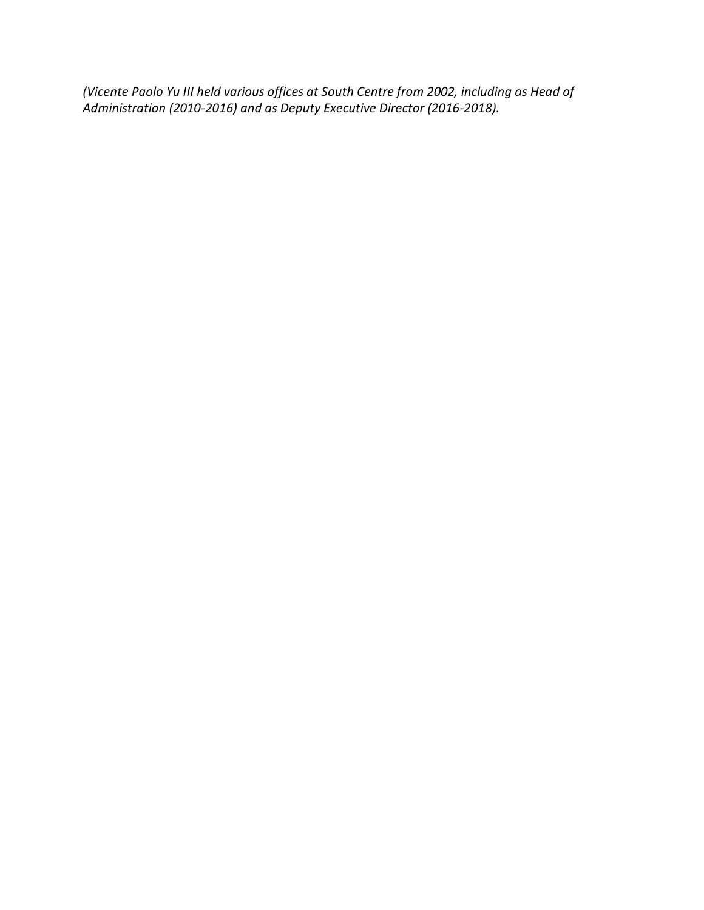*(Vicente Paolo Yu III held various offices at South Centre from 2002, including as Head of Administration (2010-2016) and as Deputy Executive Director (2016-2018).*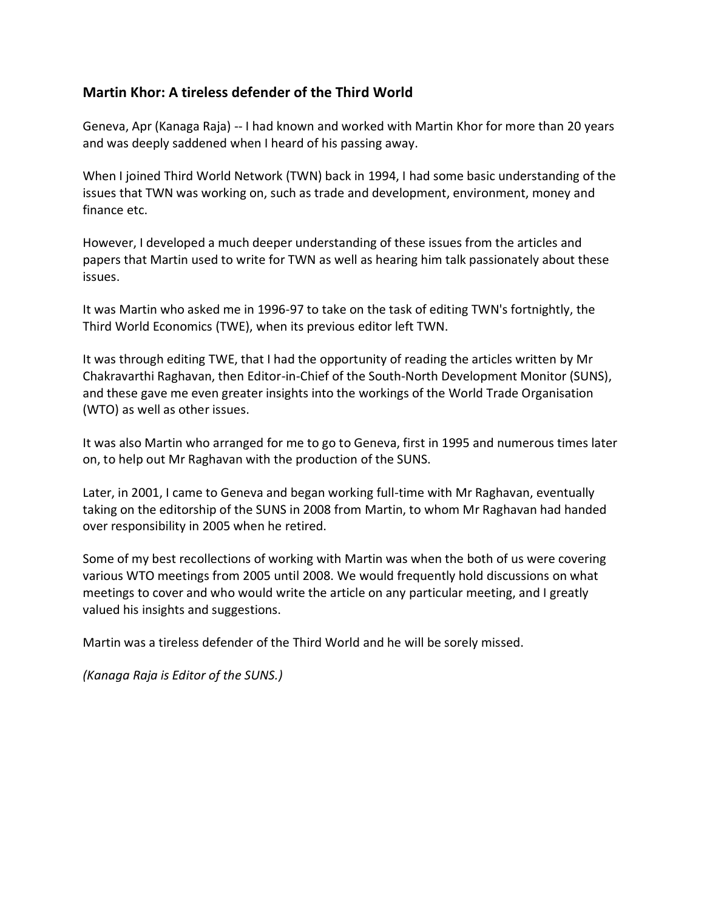## <span id="page-33-0"></span>**Martin Khor: A tireless defender of the Third World**

Geneva, Apr (Kanaga Raja) -- I had known and worked with Martin Khor for more than 20 years and was deeply saddened when I heard of his passing away.

When I joined Third World Network (TWN) back in 1994, I had some basic understanding of the issues that TWN was working on, such as trade and development, environment, money and finance etc.

However, I developed a much deeper understanding of these issues from the articles and papers that Martin used to write for TWN as well as hearing him talk passionately about these issues.

It was Martin who asked me in 1996-97 to take on the task of editing TWN's fortnightly, the Third World Economics (TWE), when its previous editor left TWN.

It was through editing TWE, that I had the opportunity of reading the articles written by Mr Chakravarthi Raghavan, then Editor-in-Chief of the South-North Development Monitor (SUNS), and these gave me even greater insights into the workings of the World Trade Organisation (WTO) as well as other issues.

It was also Martin who arranged for me to go to Geneva, first in 1995 and numerous times later on, to help out Mr Raghavan with the production of the SUNS.

Later, in 2001, I came to Geneva and began working full-time with Mr Raghavan, eventually taking on the editorship of the SUNS in 2008 from Martin, to whom Mr Raghavan had handed over responsibility in 2005 when he retired.

Some of my best recollections of working with Martin was when the both of us were covering various WTO meetings from 2005 until 2008. We would frequently hold discussions on what meetings to cover and who would write the article on any particular meeting, and I greatly valued his insights and suggestions.

Martin was a tireless defender of the Third World and he will be sorely missed.

*(Kanaga Raja is Editor of the SUNS.)*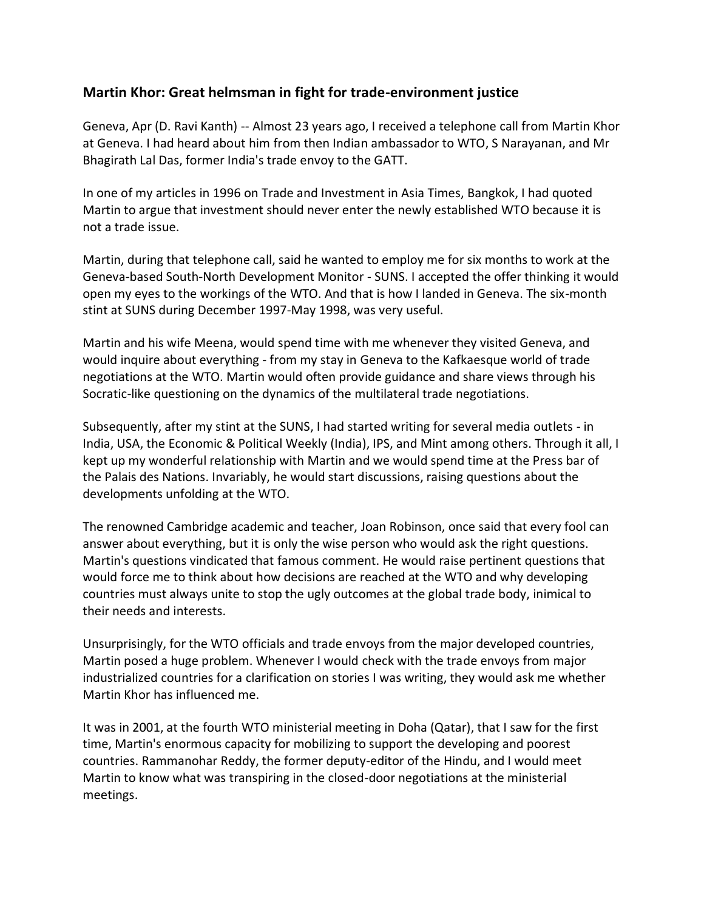## <span id="page-34-0"></span>**Martin Khor: Great helmsman in fight for trade-environment justice**

Geneva, Apr (D. Ravi Kanth) -- Almost 23 years ago, I received a telephone call from Martin Khor at Geneva. I had heard about him from then Indian ambassador to WTO, S Narayanan, and Mr Bhagirath Lal Das, former India's trade envoy to the GATT.

In one of my articles in 1996 on Trade and Investment in Asia Times, Bangkok, I had quoted Martin to argue that investment should never enter the newly established WTO because it is not a trade issue.

Martin, during that telephone call, said he wanted to employ me for six months to work at the Geneva-based South-North Development Monitor - SUNS. I accepted the offer thinking it would open my eyes to the workings of the WTO. And that is how I landed in Geneva. The six-month stint at SUNS during December 1997-May 1998, was very useful.

Martin and his wife Meena, would spend time with me whenever they visited Geneva, and would inquire about everything - from my stay in Geneva to the Kafkaesque world of trade negotiations at the WTO. Martin would often provide guidance and share views through his Socratic-like questioning on the dynamics of the multilateral trade negotiations.

Subsequently, after my stint at the SUNS, I had started writing for several media outlets - in India, USA, the Economic & Political Weekly (India), IPS, and Mint among others. Through it all, I kept up my wonderful relationship with Martin and we would spend time at the Press bar of the Palais des Nations. Invariably, he would start discussions, raising questions about the developments unfolding at the WTO.

The renowned Cambridge academic and teacher, Joan Robinson, once said that every fool can answer about everything, but it is only the wise person who would ask the right questions. Martin's questions vindicated that famous comment. He would raise pertinent questions that would force me to think about how decisions are reached at the WTO and why developing countries must always unite to stop the ugly outcomes at the global trade body, inimical to their needs and interests.

Unsurprisingly, for the WTO officials and trade envoys from the major developed countries, Martin posed a huge problem. Whenever I would check with the trade envoys from major industrialized countries for a clarification on stories I was writing, they would ask me whether Martin Khor has influenced me.

It was in 2001, at the fourth WTO ministerial meeting in Doha (Qatar), that I saw for the first time, Martin's enormous capacity for mobilizing to support the developing and poorest countries. Rammanohar Reddy, the former deputy-editor of the Hindu, and I would meet Martin to know what was transpiring in the closed-door negotiations at the ministerial meetings.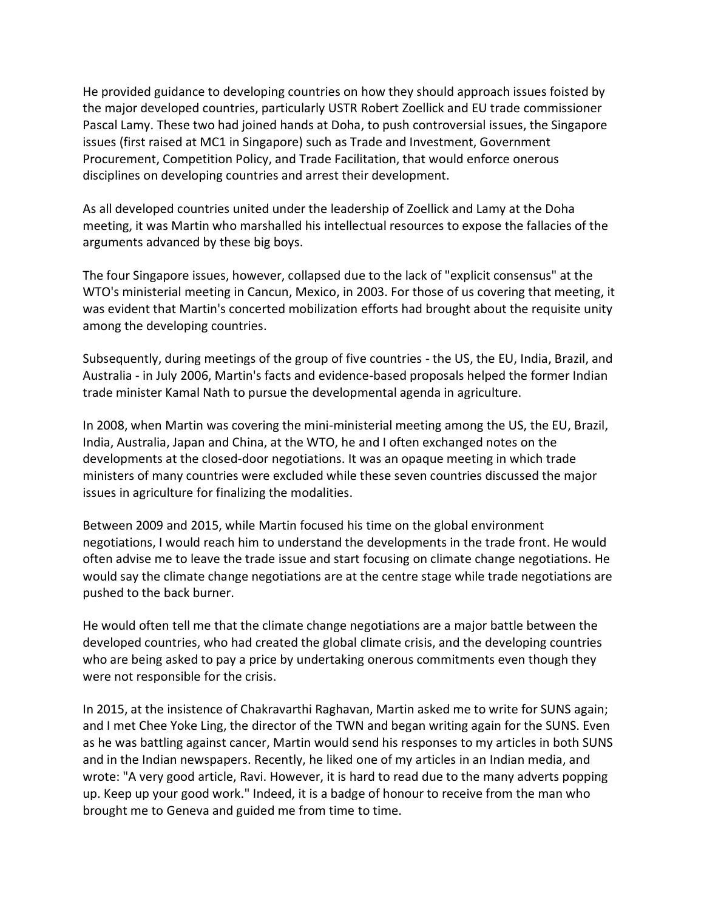He provided guidance to developing countries on how they should approach issues foisted by the major developed countries, particularly USTR Robert Zoellick and EU trade commissioner Pascal Lamy. These two had joined hands at Doha, to push controversial issues, the Singapore issues (first raised at MC1 in Singapore) such as Trade and Investment, Government Procurement, Competition Policy, and Trade Facilitation, that would enforce onerous disciplines on developing countries and arrest their development.

As all developed countries united under the leadership of Zoellick and Lamy at the Doha meeting, it was Martin who marshalled his intellectual resources to expose the fallacies of the arguments advanced by these big boys.

The four Singapore issues, however, collapsed due to the lack of "explicit consensus" at the WTO's ministerial meeting in Cancun, Mexico, in 2003. For those of us covering that meeting, it was evident that Martin's concerted mobilization efforts had brought about the requisite unity among the developing countries.

Subsequently, during meetings of the group of five countries - the US, the EU, India, Brazil, and Australia - in July 2006, Martin's facts and evidence-based proposals helped the former Indian trade minister Kamal Nath to pursue the developmental agenda in agriculture.

In 2008, when Martin was covering the mini-ministerial meeting among the US, the EU, Brazil, India, Australia, Japan and China, at the WTO, he and I often exchanged notes on the developments at the closed-door negotiations. It was an opaque meeting in which trade ministers of many countries were excluded while these seven countries discussed the major issues in agriculture for finalizing the modalities.

Between 2009 and 2015, while Martin focused his time on the global environment negotiations, I would reach him to understand the developments in the trade front. He would often advise me to leave the trade issue and start focusing on climate change negotiations. He would say the climate change negotiations are at the centre stage while trade negotiations are pushed to the back burner.

He would often tell me that the climate change negotiations are a major battle between the developed countries, who had created the global climate crisis, and the developing countries who are being asked to pay a price by undertaking onerous commitments even though they were not responsible for the crisis.

In 2015, at the insistence of Chakravarthi Raghavan, Martin asked me to write for SUNS again; and I met Chee Yoke Ling, the director of the TWN and began writing again for the SUNS. Even as he was battling against cancer, Martin would send his responses to my articles in both SUNS and in the Indian newspapers. Recently, he liked one of my articles in an Indian media, and wrote: "A very good article, Ravi. However, it is hard to read due to the many adverts popping up. Keep up your good work." Indeed, it is a badge of honour to receive from the man who brought me to Geneva and guided me from time to time.